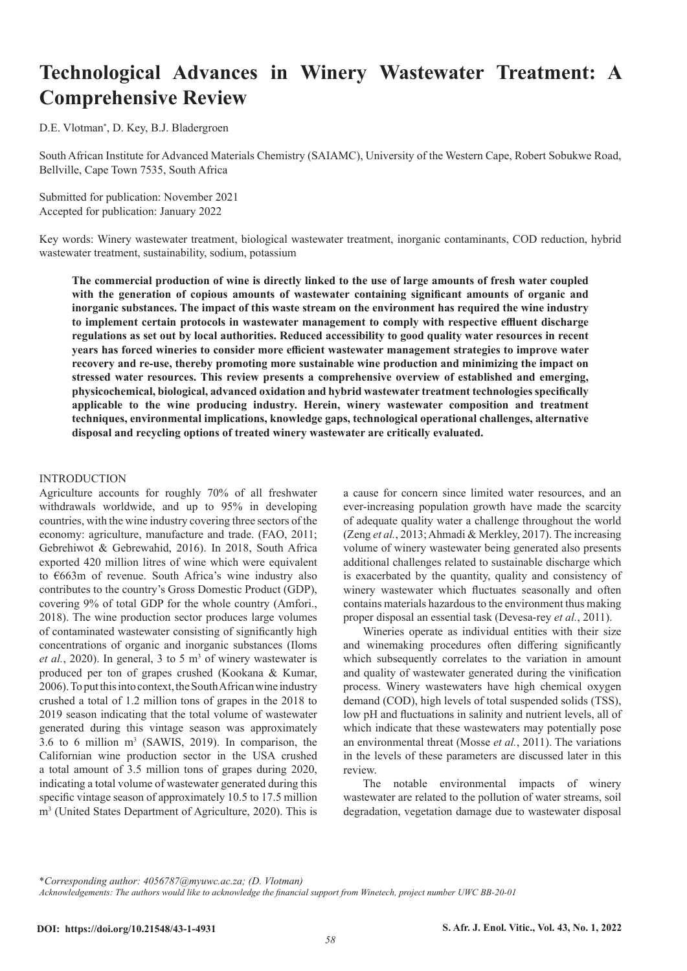# **Technological Advances in Winery Wastewater Treatment: A Comprehensive Review**

D.E. Vlotman\* , D. Key, B.J. Bladergroen

South African Institute for Advanced Materials Chemistry (SAIAMC), University of the Western Cape, Robert Sobukwe Road, Bellville, Cape Town 7535, South Africa

Submitted for publication: November 2021 Accepted for publication: January 2022

Key words: Winery wastewater treatment, biological wastewater treatment, inorganic contaminants, COD reduction, hybrid wastewater treatment, sustainability, sodium, potassium

**The commercial production of wine is directly linked to the use of large amounts of fresh water coupled with the generation of copious amounts of wastewater containing significant amounts of organic and inorganic substances. The impact of this waste stream on the environment has required the wine industry to implement certain protocols in wastewater management to comply with respective effluent discharge regulations as set out by local authorities. Reduced accessibility to good quality water resources in recent years has forced wineries to consider more efficient wastewater management strategies to improve water recovery and re-use, thereby promoting more sustainable wine production and minimizing the impact on stressed water resources. This review presents a comprehensive overview of established and emerging, physicochemical, biological, advanced oxidation and hybrid wastewater treatment technologies specifically applicable to the wine producing industry. Herein, winery wastewater composition and treatment techniques, environmental implications, knowledge gaps, technological operational challenges, alternative disposal and recycling options of treated winery wastewater are critically evaluated.** 

#### INTRODUCTION

Agriculture accounts for roughly 70% of all freshwater withdrawals worldwide, and up to 95% in developing countries, with the wine industry covering three sectors of the economy: agriculture, manufacture and trade. (FAO, 2011; Gebrehiwot & Gebrewahid, 2016). In 2018, South Africa exported 420 million litres of wine which were equivalent to €663m of revenue. South Africa's wine industry also contributes to the country's Gross Domestic Product (GDP), covering 9% of total GDP for the whole country (Amfori., 2018). The wine production sector produces large volumes of contaminated wastewater consisting of significantly high concentrations of organic and inorganic substances (Iloms et al., 2020). In general, 3 to 5 m<sup>3</sup> of winery wastewater is produced per ton of grapes crushed (Kookana & Kumar, 2006). To put this into context, the South African wine industry crushed a total of 1.2 million tons of grapes in the 2018 to 2019 season indicating that the total volume of wastewater generated during this vintage season was approximately 3.6 to 6 million  $m<sup>3</sup>$  (SAWIS, 2019). In comparison, the Californian wine production sector in the USA crushed a total amount of 3.5 million tons of grapes during 2020, indicating a total volume of wastewater generated during this specific vintage season of approximately 10.5 to 17.5 million m3 (United States Department of Agriculture, 2020). This is a cause for concern since limited water resources, and an ever-increasing population growth have made the scarcity of adequate quality water a challenge throughout the world (Zeng *et al.*, 2013; Ahmadi & Merkley, 2017). The increasing volume of winery wastewater being generated also presents additional challenges related to sustainable discharge which is exacerbated by the quantity, quality and consistency of winery wastewater which fluctuates seasonally and often contains materials hazardous to the environment thus making proper disposal an essential task (Devesa-rey *et al.*, 2011).

Wineries operate as individual entities with their size and winemaking procedures often differing significantly which subsequently correlates to the variation in amount and quality of wastewater generated during the vinification process. Winery wastewaters have high chemical oxygen demand (COD), high levels of total suspended solids (TSS), low pH and fluctuations in salinity and nutrient levels, all of which indicate that these wastewaters may potentially pose an environmental threat (Mosse *et al.*, 2011). The variations in the levels of these parameters are discussed later in this review.

The notable environmental impacts of winery wastewater are related to the pollution of water streams, soil degradation, vegetation damage due to wastewater disposal

\**Corresponding author: 4056787@myuwc.ac.za; (D. Vlotman)*

*Acknowledgements: The authors would like to acknowledge the financial support from Winetech, project number UWC BB-20-01*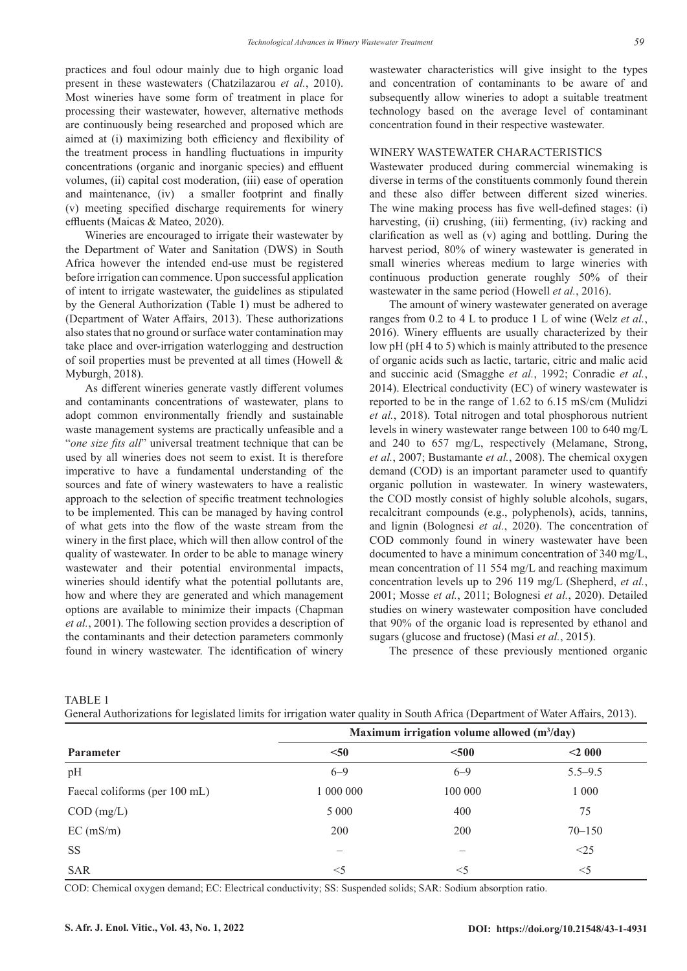practices and foul odour mainly due to high organic load present in these wastewaters (Chatzilazarou *et al.*, 2010). Most wineries have some form of treatment in place for processing their wastewater, however, alternative methods are continuously being researched and proposed which are aimed at (i) maximizing both efficiency and flexibility of the treatment process in handling fluctuations in impurity concentrations (organic and inorganic species) and effluent volumes, (ii) capital cost moderation, (iii) ease of operation and maintenance, (iv) a smaller footprint and finally (v) meeting specified discharge requirements for winery effluents (Maicas & Mateo, 2020).

Wineries are encouraged to irrigate their wastewater by the Department of Water and Sanitation (DWS) in South Africa however the intended end-use must be registered before irrigation can commence. Upon successful application of intent to irrigate wastewater, the guidelines as stipulated by the General Authorization (Table 1) must be adhered to (Department of Water Affairs, 2013). These authorizations also states that no ground or surface water contamination may take place and over-irrigation waterlogging and destruction of soil properties must be prevented at all times (Howell & Myburgh, 2018).

As different wineries generate vastly different volumes and contaminants concentrations of wastewater, plans to adopt common environmentally friendly and sustainable waste management systems are practically unfeasible and a "*one size fits all*" universal treatment technique that can be used by all wineries does not seem to exist. It is therefore imperative to have a fundamental understanding of the sources and fate of winery wastewaters to have a realistic approach to the selection of specific treatment technologies to be implemented. This can be managed by having control of what gets into the flow of the waste stream from the winery in the first place, which will then allow control of the quality of wastewater. In order to be able to manage winery wastewater and their potential environmental impacts, wineries should identify what the potential pollutants are, how and where they are generated and which management options are available to minimize their impacts (Chapman *et al.*, 2001). The following section provides a description of the contaminants and their detection parameters commonly found in winery wastewater. The identification of winery

wastewater characteristics will give insight to the types and concentration of contaminants to be aware of and subsequently allow wineries to adopt a suitable treatment technology based on the average level of contaminant concentration found in their respective wastewater.

#### WINERY WASTEWATER CHARACTERISTICS

Wastewater produced during commercial winemaking is diverse in terms of the constituents commonly found therein and these also differ between different sized wineries. The wine making process has five well-defined stages: (i) harvesting, (ii) crushing, (iii) fermenting, (iv) racking and clarification as well as (v) aging and bottling. During the harvest period, 80% of winery wastewater is generated in small wineries whereas medium to large wineries with continuous production generate roughly 50% of their wastewater in the same period (Howell *et al.*, 2016).

The amount of winery wastewater generated on average ranges from 0.2 to 4 L to produce 1 L of wine (Welz *et al.*, 2016). Winery effluents are usually characterized by their low pH (pH 4 to 5) which is mainly attributed to the presence of organic acids such as lactic, tartaric, citric and malic acid and succinic acid (Smagghe *et al.*, 1992; Conradie *et al.*, 2014). Electrical conductivity (EC) of winery wastewater is reported to be in the range of 1.62 to 6.15 mS/cm (Mulidzi *et al.*, 2018). Total nitrogen and total phosphorous nutrient levels in winery wastewater range between 100 to 640 mg/L and 240 to 657 mg/L, respectively (Melamane, Strong, *et al.*, 2007; Bustamante *et al.*, 2008). The chemical oxygen demand (COD) is an important parameter used to quantify organic pollution in wastewater. In winery wastewaters, the COD mostly consist of highly soluble alcohols, sugars, recalcitrant compounds (e.g., polyphenols), acids, tannins, and lignin (Bolognesi *et al.*, 2020). The concentration of COD commonly found in winery wastewater have been documented to have a minimum concentration of 340 mg/L, mean concentration of 11 554 mg/L and reaching maximum concentration levels up to 296 119 mg/L (Shepherd, *et al.*, 2001; Mosse *et al.*, 2011; Bolognesi *et al.*, 2020). Detailed studies on winery wastewater composition have concluded that 90% of the organic load is represented by ethanol and sugars (glucose and fructose) (Masi *et al.*, 2015).

The presence of these previously mentioned organic

|                               |           | Maximum irrigation volume allowed (m <sup>3</sup> /day) |             |  |
|-------------------------------|-----------|---------------------------------------------------------|-------------|--|
| Parameter                     | $50$      | $500$                                                   | $<$ 2 000   |  |
| pН                            | $6 - 9$   | $6 - 9$                                                 | $5.5 - 9.5$ |  |
| Faecal coliforms (per 100 mL) | 1 000 000 | 100 000                                                 | 1 000       |  |
| $\text{COD (mg/L)}$           | 5 0 0 0   | 400                                                     | 75          |  |
| EC (mS/m)                     | 200       | 200                                                     | $70 - 150$  |  |
| SS                            |           |                                                         | <25         |  |
| <b>SAR</b>                    | $<$ 5     | $\leq$ 5                                                | $<$ 5       |  |

TABLE 1

General Authorizations for legislated limits for irrigation water quality in South Africa (Department of Water Affairs, 2013).

COD: Chemical oxygen demand; EC: Electrical conductivity; SS: Suspended solids; SAR: Sodium absorption ratio.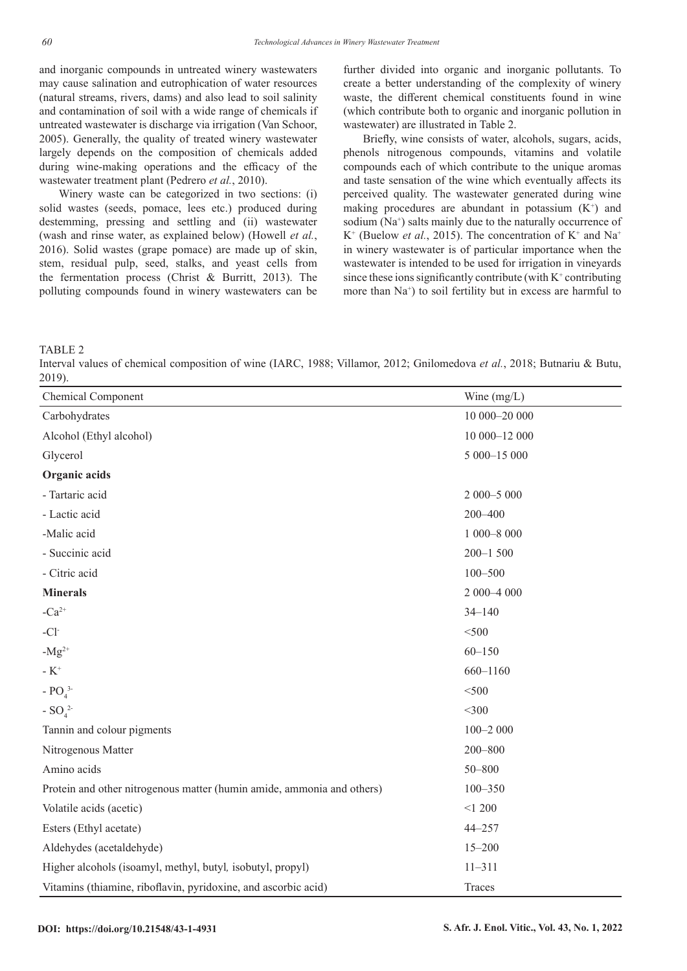and inorganic compounds in untreated winery wastewaters may cause salination and eutrophication of water resources (natural streams, rivers, dams) and also lead to soil salinity and contamination of soil with a wide range of chemicals if untreated wastewater is discharge via irrigation (Van Schoor, 2005). Generally, the quality of treated winery wastewater largely depends on the composition of chemicals added during wine-making operations and the efficacy of the wastewater treatment plant (Pedrero *et al.*, 2010).

Winery waste can be categorized in two sections: (i) solid wastes (seeds, pomace, lees etc.) produced during destemming, pressing and settling and (ii) wastewater (wash and rinse water, as explained below) (Howell *et al.*, 2016). Solid wastes (grape pomace) are made up of skin, stem, residual pulp, seed, stalks, and yeast cells from the fermentation process (Christ & Burritt, 2013). The polluting compounds found in winery wastewaters can be further divided into organic and inorganic pollutants. To create a better understanding of the complexity of winery waste, the different chemical constituents found in wine (which contribute both to organic and inorganic pollution in wastewater) are illustrated in Table 2.

Briefly, wine consists of water, alcohols, sugars, acids, phenols nitrogenous compounds, vitamins and volatile compounds each of which contribute to the unique aromas and taste sensation of the wine which eventually affects its perceived quality. The wastewater generated during wine making procedures are abundant in potassium  $(K^+)$  and sodium (Na<sup>+</sup>) salts mainly due to the naturally occurrence of  $K^+$  (Buelow *et al.*, 2015). The concentration of  $K^+$  and  $Na^+$ in winery wastewater is of particular importance when the wastewater is intended to be used for irrigation in vineyards since these ions significantly contribute (with  $K^+$  contributing more than Na<sup>+</sup>) to soil fertility but in excess are harmful to

TABLE 2

Interval values of chemical composition of wine (IARC, 1988; Villamor, 2012; Gnilomedova *et al.*, 2018; Butnariu & Butu, 2019).

| Chemical Component                                                     | Wine $(mg/L)$  |
|------------------------------------------------------------------------|----------------|
| Carbohydrates                                                          | $10000 - 2000$ |
| Alcohol (Ethyl alcohol)                                                | 10 000-12 000  |
| Glycerol                                                               | 5 000-15 000   |
| Organic acids                                                          |                |
| - Tartaric acid                                                        | 2 000-5 000    |
| - Lactic acid                                                          | 200-400        |
| -Malic acid                                                            | $1000 - 8000$  |
| - Succinic acid                                                        | $200 - 1500$   |
| - Citric acid                                                          | $100 - 500$    |
| <b>Minerals</b>                                                        | $2000 - 4000$  |
| $-Ca^{2+}$                                                             | $34 - 140$     |
| $-CI$                                                                  | $<$ 500        |
| $-Mg^{2+}$                                                             | $60 - 150$     |
| - $K^+$                                                                | 660-1160       |
| - $PO_4^3$                                                             | $<$ 500        |
| - $SO_4^2$                                                             | $<$ 300        |
| Tannin and colour pigments                                             | $100 - 2000$   |
| Nitrogenous Matter                                                     | $200 - 800$    |
| Amino acids                                                            | $50 - 800$     |
| Protein and other nitrogenous matter (humin amide, ammonia and others) | $100 - 350$    |
| Volatile acids (acetic)                                                | < 1200         |
| Esters (Ethyl acetate)                                                 | $44 - 257$     |
| Aldehydes (acetaldehyde)                                               | $15 - 200$     |
| Higher alcohols (isoamyl, methyl, butyl, isobutyl, propyl)             | $11 - 311$     |
| Vitamins (thiamine, riboflavin, pyridoxine, and ascorbic acid)         | Traces         |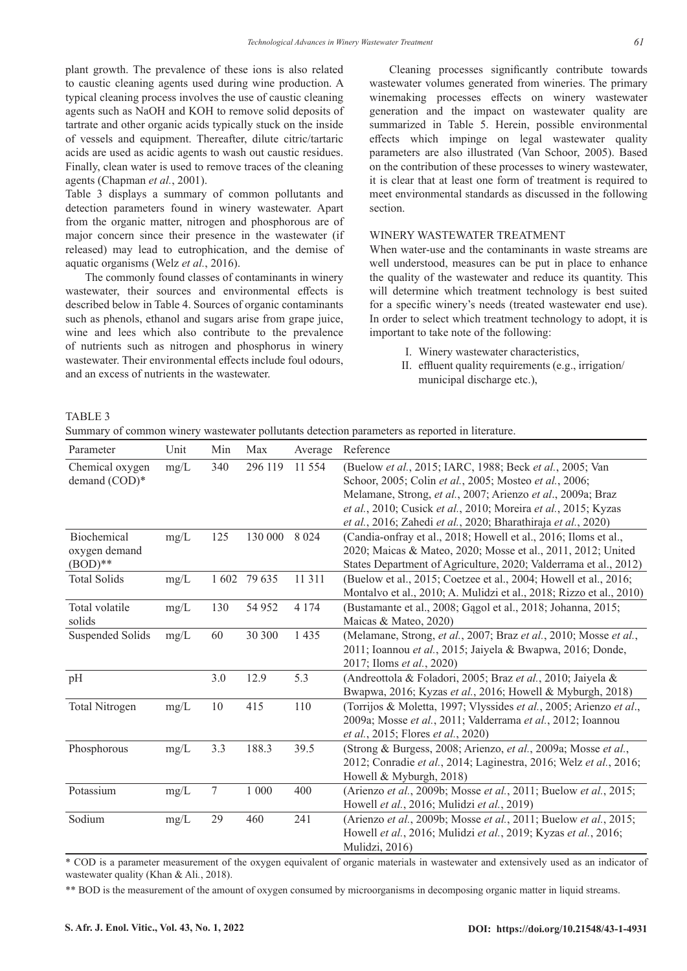plant growth. The prevalence of these ions is also related to caustic cleaning agents used during wine production. A typical cleaning process involves the use of caustic cleaning agents such as NaOH and KOH to remove solid deposits of tartrate and other organic acids typically stuck on the inside of vessels and equipment. Thereafter, dilute citric/tartaric acids are used as acidic agents to wash out caustic residues. Finally, clean water is used to remove traces of the cleaning agents (Chapman *et al.*, 2001).

Table 3 displays a summary of common pollutants and detection parameters found in winery wastewater. Apart from the organic matter, nitrogen and phosphorous are of major concern since their presence in the wastewater (if released) may lead to eutrophication, and the demise of aquatic organisms (Welz *et al.*, 2016).

The commonly found classes of contaminants in winery wastewater, their sources and environmental effects is described below in Table 4. Sources of organic contaminants such as phenols, ethanol and sugars arise from grape juice, wine and lees which also contribute to the prevalence of nutrients such as nitrogen and phosphorus in winery wastewater. Their environmental effects include foul odours, and an excess of nutrients in the wastewater.

Cleaning processes significantly contribute towards wastewater volumes generated from wineries. The primary winemaking processes effects on winery wastewater generation and the impact on wastewater quality are summarized in Table 5. Herein, possible environmental effects which impinge on legal wastewater quality parameters are also illustrated (Van Schoor, 2005). Based on the contribution of these processes to winery wastewater, it is clear that at least one form of treatment is required to meet environmental standards as discussed in the following section.

## WINERY WASTEWATER TREATMENT

When water-use and the contaminants in waste streams are well understood, measures can be put in place to enhance the quality of the wastewater and reduce its quantity. This will determine which treatment technology is best suited for a specific winery's needs (treated wastewater end use). In order to select which treatment technology to adopt, it is important to take note of the following:

- I. Winery wastewater characteristics,
- II. effluent quality requirements (e.g., irrigation/ municipal discharge etc.),

TABLE 3

Summary of common winery wastewater pollutants detection parameters as reported in literature.

| Parameter             | Unit   | Min   | Max      | Average | Reference                                                           |
|-----------------------|--------|-------|----------|---------|---------------------------------------------------------------------|
| Chemical oxygen       | mg/L   | 340   | 296 119  | 11 554  | (Buelow et al., 2015; IARC, 1988; Beck et al., 2005; Van            |
| demand (COD)*         |        |       |          |         | Schoor, 2005; Colin et al., 2005; Mosteo et al., 2006;              |
|                       |        |       |          |         | Melamane, Strong, et al., 2007; Arienzo et al., 2009a; Braz         |
|                       |        |       |          |         | et al., 2010; Cusick et al., 2010; Moreira et al., 2015; Kyzas      |
|                       |        |       |          |         | et al., 2016; Zahedi et al., 2020; Bharathiraja et al., 2020)       |
| Biochemical           | mg/L   | 125   | 130 000  | 8 0 2 4 | (Candia-onfray et al., 2018; Howell et al., 2016; Iloms et al.,     |
| oxygen demand         |        |       |          |         | 2020; Maicas & Mateo, 2020; Mosse et al., 2011, 2012; United        |
| $(BOD)**$             |        |       |          |         | States Department of Agriculture, 2020; Valderrama et al., 2012)    |
| <b>Total Solids</b>   | $mg/L$ | 1 602 | 79 635   | 11 3 11 | (Buelow et al., 2015; Coetzee et al., 2004; Howell et al., 2016;    |
|                       |        |       |          |         | Montalvo et al., 2010; A. Mulidzi et al., 2018; Rizzo et al., 2010) |
| Total volatile        | mg/L   | 130   | 54 952   | 4 1 7 4 | (Bustamante et al., 2008; Gagol et al., 2018; Johanna, 2015;        |
| solids                |        |       |          |         | Maicas & Mateo, 2020)                                               |
| Suspended Solids      | mg/L   | 60    | 30 300   | 1 4 3 5 | (Melamane, Strong, et al., 2007; Braz et al., 2010; Mosse et al.,   |
|                       |        |       |          |         | 2011; Ioannou et al., 2015; Jaiyela & Bwapwa, 2016; Donde,          |
|                       |        |       |          |         | 2017; Iloms et al., 2020)                                           |
| pH                    |        | 3.0   | 12.9     | 5.3     | (Andreottola & Foladori, 2005; Braz et al., 2010; Jaiyela &         |
|                       |        |       |          |         | Bwapwa, 2016; Kyzas et al., 2016; Howell & Myburgh, 2018)           |
| <b>Total Nitrogen</b> | mg/L   | 10    | 415      | 110     | (Torrijos & Moletta, 1997; Vlyssides et al., 2005; Arienzo et al.,  |
|                       |        |       |          |         | 2009a; Mosse et al., 2011; Valderrama et al., 2012; Ioannou         |
|                       |        |       |          |         | et al., 2015; Flores et al., 2020)                                  |
| Phosphorous           | mg/L   | 3.3   | 188.3    | 39.5    | (Strong & Burgess, 2008; Arienzo, et al., 2009a; Mosse et al.,      |
|                       |        |       |          |         | 2012; Conradie et al., 2014; Laginestra, 2016; Welz et al., 2016;   |
|                       |        |       |          |         | Howell & Myburgh, 2018)                                             |
| Potassium             | mg/L   | 7     | $1\ 000$ | 400     | (Arienzo et al., 2009b; Mosse et al., 2011; Buelow et al., 2015;    |
|                       |        |       |          |         | Howell et al., 2016; Mulidzi et al., 2019)                          |
| Sodium                | mg/L   | 29    | 460      | 241     | (Arienzo et al., 2009b; Mosse et al., 2011; Buelow et al., 2015;    |
|                       |        |       |          |         | Howell et al., 2016; Mulidzi et al., 2019; Kyzas et al., 2016;      |
|                       |        |       |          |         | Mulidzi, 2016)                                                      |

\* COD is a parameter measurement of the oxygen equivalent of organic materials in wastewater and extensively used as an indicator of wastewater quality (Khan & Ali*.*, 2018).

\*\* BOD is the measurement of the amount of oxygen consumed by microorganisms in decomposing organic matter in liquid streams.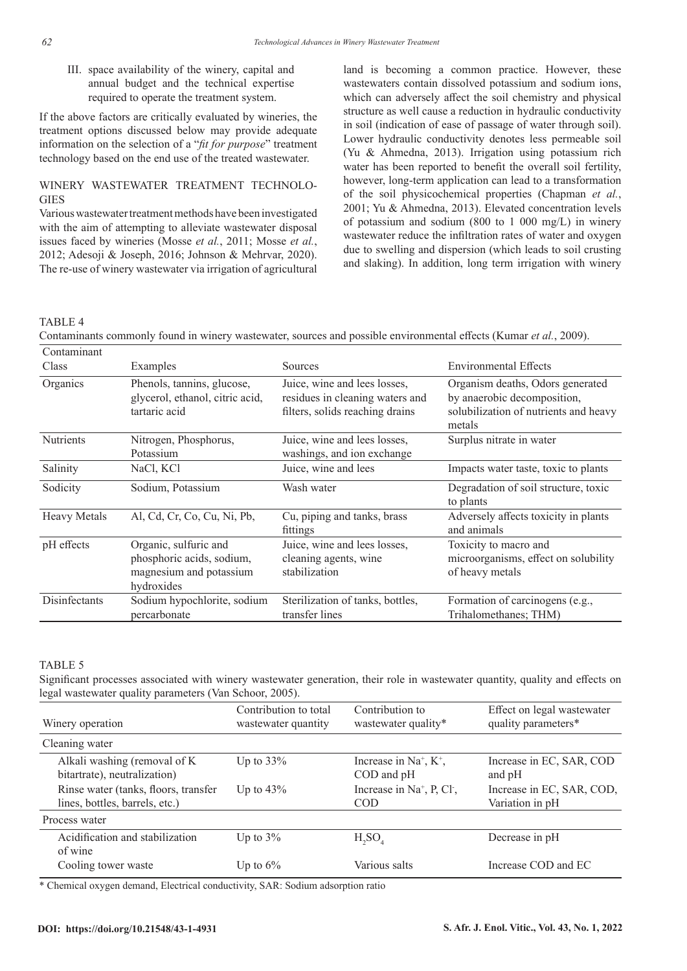III. space availability of the winery, capital and annual budget and the technical expertise required to operate the treatment system.

If the above factors are critically evaluated by wineries, the treatment options discussed below may provide adequate information on the selection of a "*fit for purpose*" treatment technology based on the end use of the treated wastewater.

# WINERY WASTEWATER TREATMENT TECHNOLO-**GIES**

Various wastewater treatment methods have been investigated with the aim of attempting to alleviate wastewater disposal issues faced by wineries (Mosse *et al.*, 2011; Mosse *et al.*, 2012; Adesoji & Joseph, 2016; Johnson & Mehrvar, 2020). The re-use of winery wastewater via irrigation of agricultural land is becoming a common practice. However, these wastewaters contain dissolved potassium and sodium ions, which can adversely affect the soil chemistry and physical structure as well cause a reduction in hydraulic conductivity in soil (indication of ease of passage of water through soil). Lower hydraulic conductivity denotes less permeable soil (Yu & Ahmedna, 2013). Irrigation using potassium rich water has been reported to benefit the overall soil fertility, however, long-term application can lead to a transformation of the soil physicochemical properties (Chapman *et al.*, 2001; Yu & Ahmedna, 2013). Elevated concentration levels of potassium and sodium (800 to 1 000 mg/L) in winery wastewater reduce the infiltration rates of water and oxygen due to swelling and dispersion (which leads to soil crusting and slaking). In addition, long term irrigation with winery

# TABLE 4

Contaminants commonly found in winery wastewater, sources and possible environmental effects (Kumar *et al.*, 2009).

| Contaminant<br>Class | Examples                                                                                    | Sources                                                                                            | <b>Environmental Effects</b>                                                                                       |
|----------------------|---------------------------------------------------------------------------------------------|----------------------------------------------------------------------------------------------------|--------------------------------------------------------------------------------------------------------------------|
| Organics             | Phenols, tannins, glucose,<br>glycerol, ethanol, citric acid,<br>tartaric acid              | Juice, wine and lees losses,<br>residues in cleaning waters and<br>filters, solids reaching drains | Organism deaths, Odors generated<br>by anaerobic decomposition,<br>solubilization of nutrients and heavy<br>metals |
| <b>Nutrients</b>     | Nitrogen, Phosphorus,<br>Potassium                                                          | Juice, wine and lees losses,<br>washings, and ion exchange                                         | Surplus nitrate in water                                                                                           |
| Salinity             | NaCl, KCl                                                                                   | Juice, wine and lees                                                                               | Impacts water taste, toxic to plants                                                                               |
| Sodicity             | Sodium, Potassium                                                                           | Wash water                                                                                         | Degradation of soil structure, toxic<br>to plants                                                                  |
| <b>Heavy Metals</b>  | Al, Cd, Cr, Co, Cu, Ni, Pb,                                                                 | Cu, piping and tanks, brass<br>fittings                                                            | Adversely affects toxicity in plants<br>and animals                                                                |
| pH effects           | Organic, sulfuric and<br>phosphoric acids, sodium,<br>magnesium and potassium<br>hydroxides | Juice, wine and lees losses,<br>cleaning agents, wine<br>stabilization                             | Toxicity to macro and<br>microorganisms, effect on solubility<br>of heavy metals                                   |
| Disinfectants        | Sodium hypochlorite, sodium<br>percarbonate                                                 | Sterilization of tanks, bottles,<br>transfer lines                                                 | Formation of carcinogens (e.g.,<br>Trihalomethanes; THM)                                                           |

#### TABLE 5

Significant processes associated with winery wastewater generation, their role in wastewater quantity, quality and effects on legal wastewater quality parameters (Van Schoor, 2005).

| Winery operation                                                       | Contribution to total<br>wastewater quantity | Contribution to<br>wastewater quality*                           | Effect on legal wastewater<br>quality parameters* |
|------------------------------------------------------------------------|----------------------------------------------|------------------------------------------------------------------|---------------------------------------------------|
| Cleaning water                                                         |                                              |                                                                  |                                                   |
| Alkali washing (removal of K<br>bitartrate), neutralization)           | Up to $33\%$                                 | Increase in $Na^+$ , $K^+$ ,<br>COD and pH                       | Increase in EC, SAR, COD<br>and pH                |
| Rinse water (tanks, floors, transfer<br>lines, bottles, barrels, etc.) | Up to $43\%$                                 | Increase in Na <sup>+</sup> , P, Cl <sup>-</sup> ,<br><b>COD</b> | Increase in EC, SAR, COD,<br>Variation in pH      |
| Process water                                                          |                                              |                                                                  |                                                   |
| Acidification and stabilization<br>of wine                             | Up to $3\%$                                  | $H_2SO_4$                                                        | Decrease in pH                                    |
| Cooling tower waste                                                    | Up to $6\%$                                  | Various salts                                                    | Increase COD and EC                               |

\* Chemical oxygen demand, Electrical conductivity, SAR: Sodium adsorption ratio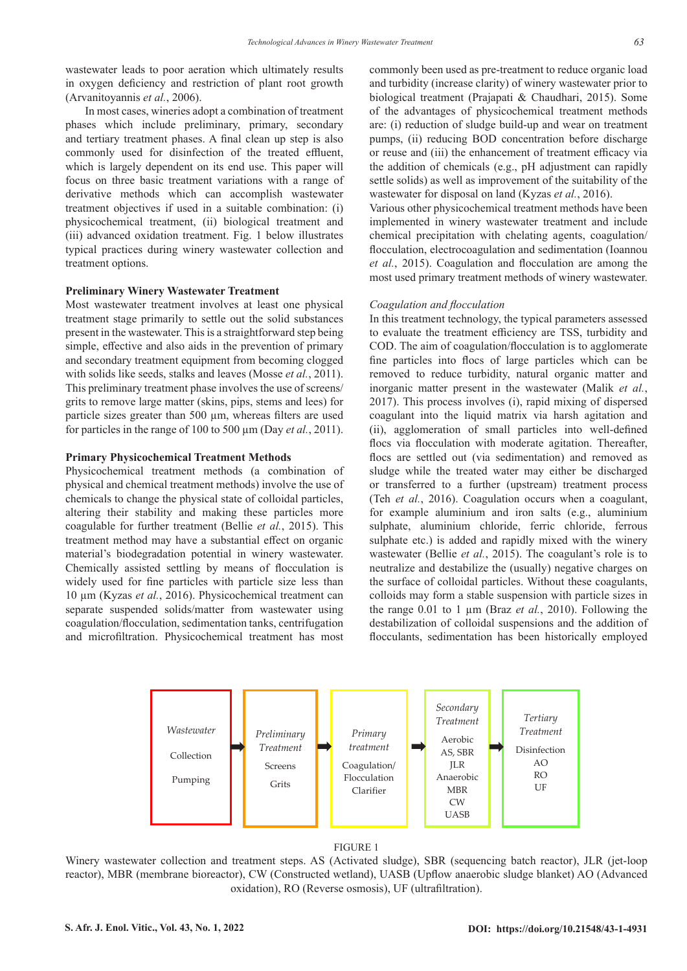wastewater leads to poor aeration which ultimately results in oxygen deficiency and restriction of plant root growth (Arvanitoyannis *et al.*, 2006).

In most cases, wineries adopt a combination of treatment phases which include preliminary, primary, secondary and tertiary treatment phases. A final clean up step is also commonly used for disinfection of the treated effluent, which is largely dependent on its end use. This paper will focus on three basic treatment variations with a range of derivative methods which can accomplish wastewater treatment objectives if used in a suitable combination: (i) physicochemical treatment, (ii) biological treatment and (iii) advanced oxidation treatment. Fig. 1 below illustrates typical practices during winery wastewater collection and treatment options.

#### **Preliminary Winery Wastewater Treatment**

Most wastewater treatment involves at least one physical treatment stage primarily to settle out the solid substances present in the wastewater. This is a straightforward step being simple, effective and also aids in the prevention of primary and secondary treatment equipment from becoming clogged with solids like seeds, stalks and leaves (Mosse *et al.*, 2011). This preliminary treatment phase involves the use of screens/ grits to remove large matter (skins, pips, stems and lees) for particle sizes greater than 500 µm, whereas filters are used for particles in the range of 100 to 500 µm (Day *et al.*, 2011).

#### **Primary Physicochemical Treatment Methods**

Physicochemical treatment methods (a combination of physical and chemical treatment methods) involve the use of chemicals to change the physical state of colloidal particles, altering their stability and making these particles more coagulable for further treatment (Bellie *et al.*, 2015). This treatment method may have a substantial effect on organic material's biodegradation potential in winery wastewater. Chemically assisted settling by means of flocculation is widely used for fine particles with particle size less than 10 µm (Kyzas *et al.*, 2016). Physicochemical treatment can separate suspended solids/matter from wastewater using coagulation/flocculation, sedimentation tanks, centrifugation and microfiltration. Physicochemical treatment has most

commonly been used as pre-treatment to reduce organic load and turbidity (increase clarity) of winery wastewater prior to biological treatment (Prajapati & Chaudhari, 2015). Some of the advantages of physicochemical treatment methods are: (i) reduction of sludge build-up and wear on treatment pumps, (ii) reducing BOD concentration before discharge or reuse and (iii) the enhancement of treatment efficacy via the addition of chemicals (e.g., pH adjustment can rapidly settle solids) as well as improvement of the suitability of the wastewater for disposal on land (Kyzas *et al.*, 2016).

Various other physicochemical treatment methods have been implemented in winery wastewater treatment and include chemical precipitation with chelating agents, coagulation/ flocculation, electrocoagulation and sedimentation (Ioannou *et al.*, 2015). Coagulation and flocculation are among the most used primary treatment methods of winery wastewater.

#### *Coagulation and flocculation*

In this treatment technology, the typical parameters assessed to evaluate the treatment efficiency are TSS, turbidity and COD. The aim of coagulation/flocculation is to agglomerate fine particles into flocs of large particles which can be removed to reduce turbidity, natural organic matter and inorganic matter present in the wastewater (Malik *et al.*, 2017). This process involves (i), rapid mixing of dispersed coagulant into the liquid matrix via harsh agitation and (ii), agglomeration of small particles into well-defined flocs via flocculation with moderate agitation. Thereafter, flocs are settled out (via sedimentation) and removed as sludge while the treated water may either be discharged or transferred to a further (upstream) treatment process (Teh *et al.*, 2016). Coagulation occurs when a coagulant, for example aluminium and iron salts (e.g., aluminium sulphate, aluminium chloride, ferric chloride, ferrous sulphate etc.) is added and rapidly mixed with the winery wastewater (Bellie *et al.*, 2015). The coagulant's role is to neutralize and destabilize the (usually) negative charges on the surface of colloidal particles. Without these coagulants, colloids may form a stable suspension with particle sizes in the range 0.01 to 1 µm (Braz *et al.*, 2010). Following the destabilization of colloidal suspensions and the addition of flocculants, sedimentation has been historically employed





Winery wastewater collection and treatment steps. AS (Activated sludge), SBR (sequencing batch reactor), JLR (jet-loop reactor), MBR (membrane bioreactor), CW (Constructed wetland), UASB (Upflow anaerobic sludge blanket) AO (Advanced oxidation), RO (Reverse osmosis), UF (ultrafiltration).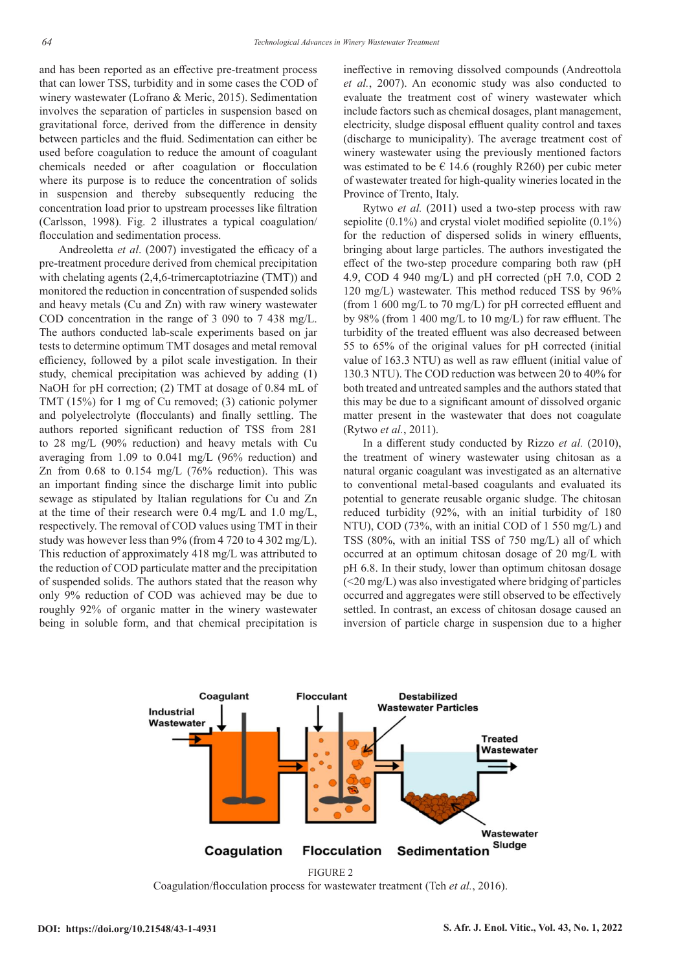and has been reported as an effective pre-treatment process that can lower TSS, turbidity and in some cases the COD of winery wastewater (Lofrano & Meric, 2015). Sedimentation involves the separation of particles in suspension based on gravitational force, derived from the difference in density between particles and the fluid. Sedimentation can either be used before coagulation to reduce the amount of coagulant chemicals needed or after coagulation or flocculation where its purpose is to reduce the concentration of solids in suspension and thereby subsequently reducing the concentration load prior to upstream processes like filtration (Carlsson, 1998). Fig. 2 illustrates a typical coagulation/ flocculation and sedimentation process.

Andreoletta *et al*. (2007) investigated the efficacy of a pre-treatment procedure derived from chemical precipitation with chelating agents (2,4,6-trimercaptotriazine (TMT)) and monitored the reduction in concentration of suspended solids and heavy metals (Cu and Zn) with raw winery wastewater COD concentration in the range of 3 090 to 7 438 mg/L. The authors conducted lab-scale experiments based on jar tests to determine optimum TMT dosages and metal removal efficiency, followed by a pilot scale investigation. In their study, chemical precipitation was achieved by adding (1) NaOH for pH correction; (2) TMT at dosage of 0.84 mL of TMT (15%) for 1 mg of Cu removed; (3) cationic polymer and polyelectrolyte (flocculants) and finally settling. The authors reported significant reduction of TSS from 281 to 28 mg/L (90% reduction) and heavy metals with Cu averaging from 1.09 to 0.041 mg/L (96% reduction) and Zn from  $0.68$  to  $0.154$  mg/L (76% reduction). This was an important finding since the discharge limit into public sewage as stipulated by Italian regulations for Cu and Zn at the time of their research were 0.4 mg/L and 1.0 mg/L, respectively. The removal of COD values using TMT in their study was however less than 9% (from 4 720 to 4 302 mg/L). This reduction of approximately 418 mg/L was attributed to the reduction of COD particulate matter and the precipitation of suspended solids. The authors stated that the reason why only 9% reduction of COD was achieved may be due to roughly 92% of organic matter in the winery wastewater being in soluble form, and that chemical precipitation is

ineffective in removing dissolved compounds (Andreottola *et al.*, 2007). An economic study was also conducted to evaluate the treatment cost of winery wastewater which include factors such as chemical dosages, plant management, electricity, sludge disposal effluent quality control and taxes (discharge to municipality). The average treatment cost of winery wastewater using the previously mentioned factors was estimated to be  $\epsilon$  14.6 (roughly R260) per cubic meter of wastewater treated for high-quality wineries located in the Province of Trento, Italy.

Rytwo *et al.* (2011) used a two-step process with raw sepiolite (0.1%) and crystal violet modified sepiolite (0.1%) for the reduction of dispersed solids in winery effluents, bringing about large particles. The authors investigated the effect of the two-step procedure comparing both raw (pH 4.9, COD 4 940 mg/L) and pH corrected (pH 7.0, COD 2 120 mg/L) wastewater. This method reduced TSS by 96% (from 1 600 mg/L to 70 mg/L) for pH corrected effluent and by 98% (from 1 400 mg/L to 10 mg/L) for raw effluent. The turbidity of the treated effluent was also decreased between 55 to 65% of the original values for pH corrected (initial value of 163.3 NTU) as well as raw effluent (initial value of 130.3 NTU). The COD reduction was between 20 to 40% for both treated and untreated samples and the authors stated that this may be due to a significant amount of dissolved organic matter present in the wastewater that does not coagulate (Rytwo *et al.*, 2011).

In a different study conducted by Rizzo *et al.* (2010), the treatment of winery wastewater using chitosan as a natural organic coagulant was investigated as an alternative to conventional metal-based coagulants and evaluated its potential to generate reusable organic sludge. The chitosan reduced turbidity (92%, with an initial turbidity of 180 NTU), COD (73%, with an initial COD of 1 550 mg/L) and TSS (80%, with an initial TSS of 750 mg/L) all of which occurred at an optimum chitosan dosage of 20 mg/L with pH 6.8. In their study, lower than optimum chitosan dosage (<20 mg/L) was also investigated where bridging of particles occurred and aggregates were still observed to be effectively settled. In contrast, an excess of chitosan dosage caused an inversion of particle charge in suspension due to a higher



Coagulation/flocculation process for wastewater treatment (Teh *et al.*, 2016).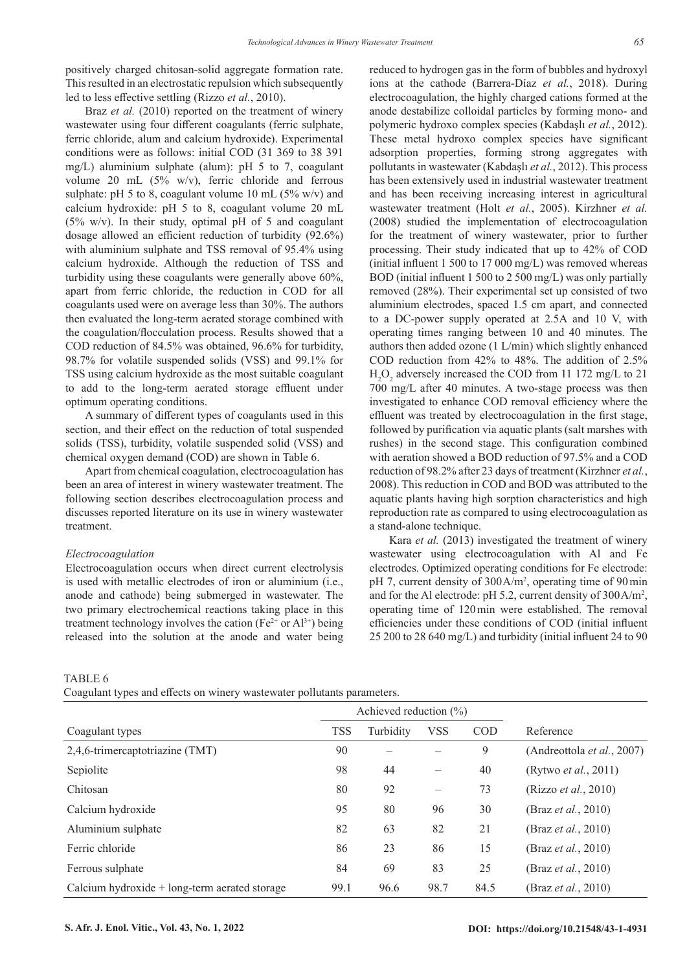positively charged chitosan-solid aggregate formation rate. This resulted in an electrostatic repulsion which subsequently led to less effective settling (Rizzo *et al.*, 2010).

Braz *et al.* (2010) reported on the treatment of winery wastewater using four different coagulants (ferric sulphate, ferric chloride, alum and calcium hydroxide). Experimental conditions were as follows: initial COD (31 369 to 38 391 mg/L) aluminium sulphate (alum): pH 5 to 7, coagulant volume 20 mL (5% w/v), ferric chloride and ferrous sulphate: pH 5 to 8, coagulant volume 10 mL ( $5\%$  w/v) and calcium hydroxide: pH 5 to 8, coagulant volume 20 mL (5% w/v). In their study, optimal pH of 5 and coagulant dosage allowed an efficient reduction of turbidity (92.6%) with aluminium sulphate and TSS removal of 95.4% using calcium hydroxide. Although the reduction of TSS and turbidity using these coagulants were generally above 60%, apart from ferric chloride, the reduction in COD for all coagulants used were on average less than 30%. The authors then evaluated the long-term aerated storage combined with the coagulation/flocculation process. Results showed that a COD reduction of 84.5% was obtained, 96.6% for turbidity, 98.7% for volatile suspended solids (VSS) and 99.1% for TSS using calcium hydroxide as the most suitable coagulant to add to the long-term aerated storage effluent under optimum operating conditions.

A summary of different types of coagulants used in this section, and their effect on the reduction of total suspended solids (TSS), turbidity, volatile suspended solid (VSS) and chemical oxygen demand (COD) are shown in Table 6.

Apart from chemical coagulation, electrocoagulation has been an area of interest in winery wastewater treatment. The following section describes electrocoagulation process and discusses reported literature on its use in winery wastewater treatment.

#### *Electrocoagulation*

Electrocoagulation occurs when direct current electrolysis is used with metallic electrodes of iron or aluminium (i.e., anode and cathode) being submerged in wastewater. The two primary electrochemical reactions taking place in this treatment technology involves the cation ( $Fe^{2+}$  or Al<sup>3+</sup>) being released into the solution at the anode and water being reduced to hydrogen gas in the form of bubbles and hydroxyl ions at the cathode (Barrera-Díaz *et al.*, 2018). During electrocoagulation, the highly charged cations formed at the anode destabilize colloidal particles by forming mono- and polymeric hydroxo complex species (Kabdaşlı *et al.*, 2012). These metal hydroxo complex species have significant adsorption properties, forming strong aggregates with pollutants in wastewater (Kabdaşlı *et al.*, 2012). This process has been extensively used in industrial wastewater treatment and has been receiving increasing interest in agricultural wastewater treatment (Holt *et al.*, 2005). Kirzhner *et al.* (2008) studied the implementation of electrocoagulation for the treatment of winery wastewater, prior to further processing. Their study indicated that up to 42% of COD (initial influent 1 500 to 17 000 mg/L) was removed whereas BOD (initial influent 1 500 to 2 500 mg/L) was only partially removed (28%). Their experimental set up consisted of two aluminium electrodes, spaced 1.5 cm apart, and connected to a DC-power supply operated at 2.5A and 10 V, with operating times ranging between 10 and 40 minutes. The authors then added ozone (1 L/min) which slightly enhanced COD reduction from 42% to 48%. The addition of 2.5%  $H_2O_2$  adversely increased the COD from 11 172 mg/L to 21 700 mg/L after 40 minutes. A two-stage process was then investigated to enhance COD removal efficiency where the effluent was treated by electrocoagulation in the first stage, followed by purification via aquatic plants (salt marshes with rushes) in the second stage. This configuration combined with aeration showed a BOD reduction of 97.5% and a COD reduction of 98.2% after 23 days of treatment (Kirzhner *et al.*, 2008). This reduction in COD and BOD was attributed to the aquatic plants having high sorption characteristics and high reproduction rate as compared to using electrocoagulation as a stand-alone technique.

Kara *et al.* (2013) investigated the treatment of winery wastewater using electrocoagulation with Al and Fe electrodes. Optimized operating conditions for Fe electrode: pH 7, current density of 300A/m<sup>2</sup>, operating time of 90 min and for the Al electrode: pH 5.2, current density of 300A/m2 , operating time of 120min were established. The removal efficiencies under these conditions of COD (initial influent 25 200 to 28 640 mg/L) and turbidity (initial influent 24 to 90

TABLE 6

Coagulant types and effects on winery wastewater pollutants parameters.

|                                                 |            | Achieved reduction $(\%)$ |                          |            |                              |
|-------------------------------------------------|------------|---------------------------|--------------------------|------------|------------------------------|
| Coagulant types                                 | <b>TSS</b> | Turbidity                 | <b>VSS</b>               | <b>COD</b> | Reference                    |
| 2,4,6-trimercaptotriazine (TMT)                 | 90         |                           |                          | 9          | (Andreottola et al., 2007)   |
| Sepiolite                                       | 98         | 44                        | $\overline{\phantom{0}}$ | 40         | (Rytwo <i>et al.</i> , 2011) |
| Chitosan                                        | 80         | 92                        | $\qquad \qquad -$        | 73         | (Rizzo et al., 2010)         |
| Calcium hydroxide                               | 95         | 80                        | 96                       | 30         | (Braz <i>et al.</i> , 2010)  |
| Aluminium sulphate                              | 82         | 63                        | 82                       | 21         | (Braz <i>et al.</i> , 2010)  |
| Ferric chloride                                 | 86         | 23                        | 86                       | 15         | (Braz et al., 2010)          |
| Ferrous sulphate                                | 84         | 69                        | 83                       | 25         | (Braz <i>et al.</i> , 2010)  |
| Calcium hydroxide $+$ long-term aerated storage | 99.1       | 96.6                      | 98.7                     | 84.5       | (Braz <i>et al.</i> , 2010)  |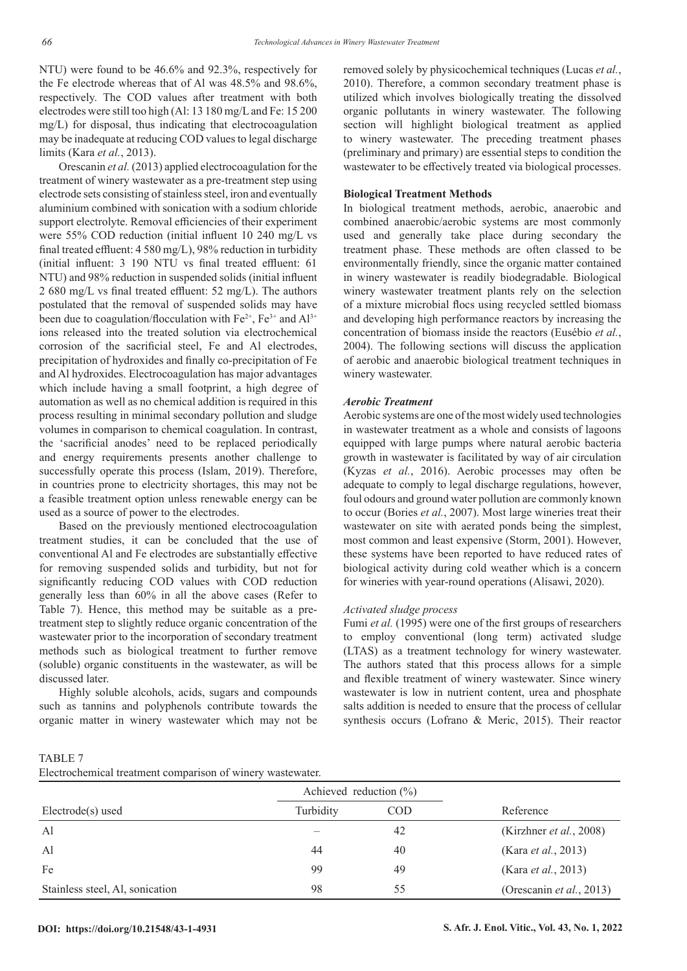NTU) were found to be 46.6% and 92.3%, respectively for the Fe electrode whereas that of Al was 48.5% and 98.6%, respectively. The COD values after treatment with both electrodes were still too high (Al: 13 180 mg/L and Fe: 15 200 mg/L) for disposal, thus indicating that electrocoagulation may be inadequate at reducing COD values to legal discharge limits (Kara *et al.*, 2013).

Orescanin *et al.* (2013) applied electrocoagulation for the treatment of winery wastewater as a pre-treatment step using electrode sets consisting of stainless steel, iron and eventually aluminium combined with sonication with a sodium chloride support electrolyte. Removal efficiencies of their experiment were 55% COD reduction (initial influent 10 240 mg/L vs final treated effluent: 4 580 mg/L), 98% reduction in turbidity (initial influent: 3 190 NTU vs final treated effluent: 61 NTU) and 98% reduction in suspended solids (initial influent 2 680 mg/L vs final treated effluent: 52 mg/L). The authors postulated that the removal of suspended solids may have been due to coagulation/flocculation with  $Fe^{2+}$ ,  $Fe^{3+}$  and  $Al^{3+}$ ions released into the treated solution via electrochemical corrosion of the sacrificial steel, Fe and Al electrodes, precipitation of hydroxides and finally co-precipitation of Fe and Al hydroxides. Electrocoagulation has major advantages which include having a small footprint, a high degree of automation as well as no chemical addition is required in this process resulting in minimal secondary pollution and sludge volumes in comparison to chemical coagulation. In contrast, the 'sacrificial anodes' need to be replaced periodically and energy requirements presents another challenge to successfully operate this process (Islam, 2019). Therefore, in countries prone to electricity shortages, this may not be a feasible treatment option unless renewable energy can be used as a source of power to the electrodes.

Based on the previously mentioned electrocoagulation treatment studies, it can be concluded that the use of conventional Al and Fe electrodes are substantially effective for removing suspended solids and turbidity, but not for significantly reducing COD values with COD reduction generally less than 60% in all the above cases (Refer to Table 7). Hence, this method may be suitable as a pretreatment step to slightly reduce organic concentration of the wastewater prior to the incorporation of secondary treatment methods such as biological treatment to further remove (soluble) organic constituents in the wastewater, as will be discussed later.

Highly soluble alcohols, acids, sugars and compounds such as tannins and polyphenols contribute towards the organic matter in winery wastewater which may not be

removed solely by physicochemical techniques (Lucas *et al.*, 2010). Therefore, a common secondary treatment phase is utilized which involves biologically treating the dissolved organic pollutants in winery wastewater. The following section will highlight biological treatment as applied to winery wastewater. The preceding treatment phases (preliminary and primary) are essential steps to condition the wastewater to be effectively treated via biological processes.

## **Biological Treatment Methods**

In biological treatment methods, aerobic, anaerobic and combined anaerobic/aerobic systems are most commonly used and generally take place during secondary the treatment phase. These methods are often classed to be environmentally friendly, since the organic matter contained in winery wastewater is readily biodegradable. Biological winery wastewater treatment plants rely on the selection of a mixture microbial flocs using recycled settled biomass and developing high performance reactors by increasing the concentration of biomass inside the reactors (Eusébio *et al.*, 2004). The following sections will discuss the application of aerobic and anaerobic biological treatment techniques in winery wastewater.

#### *Aerobic Treatment*

Aerobic systems are one of the most widely used technologies in wastewater treatment as a whole and consists of lagoons equipped with large pumps where natural aerobic bacteria growth in wastewater is facilitated by way of air circulation (Kyzas *et al.*, 2016). Aerobic processes may often be adequate to comply to legal discharge regulations, however, foul odours and ground water pollution are commonly known to occur (Bories *et al.*, 2007). Most large wineries treat their wastewater on site with aerated ponds being the simplest, most common and least expensive (Storm, 2001). However, these systems have been reported to have reduced rates of biological activity during cold weather which is a concern for wineries with year-round operations (Alisawi, 2020).

#### *Activated sludge process*

Fumi *et al.* (1995) were one of the first groups of researchers to employ conventional (long term) activated sludge (LTAS) as a treatment technology for winery wastewater. The authors stated that this process allows for a simple and flexible treatment of winery wastewater. Since winery wastewater is low in nutrient content, urea and phosphate salts addition is needed to ensure that the process of cellular synthesis occurs (Lofrano & Meric, 2015). Their reactor

TABLE 7 Electrochemical treatment comparison of winery wastewater.

|                                 | Achieved reduction $(\%)$ |            |                             |
|---------------------------------|---------------------------|------------|-----------------------------|
| $Electrode(s)$ used             | Turbidity                 | <b>COD</b> | Reference                   |
| Al                              |                           | 42         | (Kirzhner et al., 2008)     |
| Al                              | 44                        | 40         | (Kara et al., 2013)         |
| Fe                              | 99                        | 49         | (Kara <i>et al.</i> , 2013) |
| Stainless steel, Al, sonication | 98                        | 55         | (Orescanin et al., 2013)    |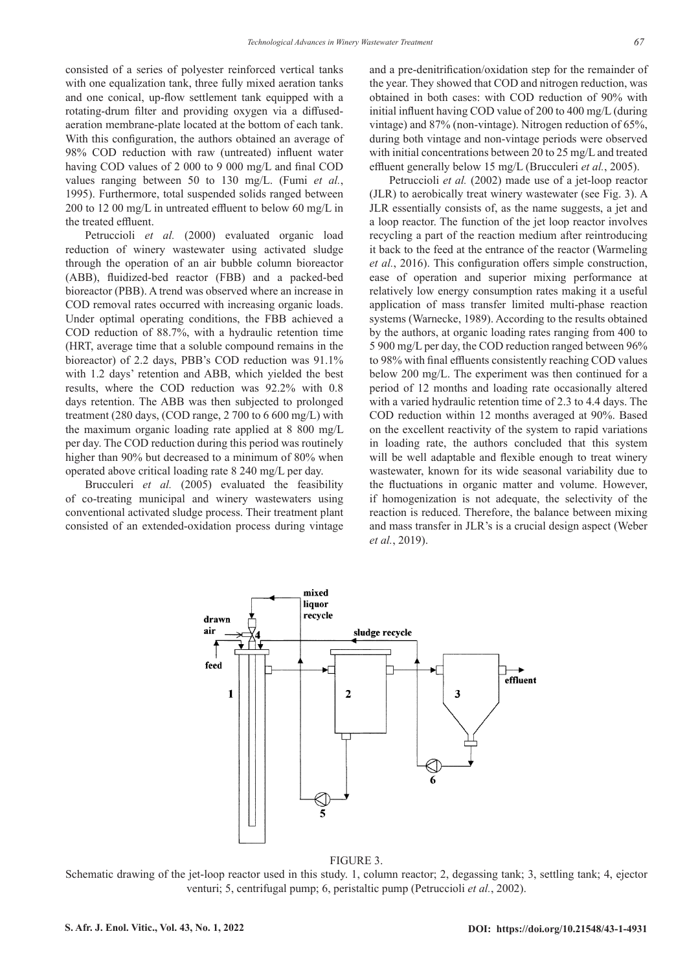consisted of a series of polyester reinforced vertical tanks with one equalization tank, three fully mixed aeration tanks and one conical, up-flow settlement tank equipped with a rotating-drum filter and providing oxygen via a diffusedaeration membrane-plate located at the bottom of each tank. With this configuration, the authors obtained an average of 98% COD reduction with raw (untreated) influent water having COD values of 2 000 to 9 000 mg/L and final COD values ranging between 50 to 130 mg/L. (Fumi *et al.*, 1995). Furthermore, total suspended solids ranged between 200 to 12 00 mg/L in untreated effluent to below 60 mg/L in the treated effluent.

Petruccioli *et al.* (2000) evaluated organic load reduction of winery wastewater using activated sludge through the operation of an air bubble column bioreactor (ABB), fluidized-bed reactor (FBB) and a packed-bed bioreactor (PBB). A trend was observed where an increase in COD removal rates occurred with increasing organic loads. Under optimal operating conditions, the FBB achieved a COD reduction of 88.7%, with a hydraulic retention time (HRT, average time that a soluble compound remains in the bioreactor) of 2.2 days, PBB's COD reduction was 91.1% with 1.2 days' retention and ABB, which yielded the best results, where the COD reduction was 92.2% with 0.8 days retention. The ABB was then subjected to prolonged treatment (280 days, (COD range, 2 700 to 6 600 mg/L) with the maximum organic loading rate applied at 8 800 mg/L per day. The COD reduction during this period was routinely higher than 90% but decreased to a minimum of 80% when operated above critical loading rate 8 240 mg/L per day.

Brucculeri *et al.* (2005) evaluated the feasibility of co-treating municipal and winery wastewaters using conventional activated sludge process. Their treatment plant consisted of an extended-oxidation process during vintage

and a pre-denitrification/oxidation step for the remainder of the year. They showed that COD and nitrogen reduction, was obtained in both cases: with COD reduction of 90% with initial influent having COD value of 200 to 400 mg/L (during vintage) and 87% (non-vintage). Nitrogen reduction of 65%, during both vintage and non-vintage periods were observed with initial concentrations between 20 to 25 mg/L and treated effluent generally below 15 mg/L (Brucculeri *et al.*, 2005).

Petruccioli *et al.* (2002) made use of a jet-loop reactor (JLR) to aerobically treat winery wastewater (see Fig. 3). A JLR essentially consists of, as the name suggests, a jet and a loop reactor. The function of the jet loop reactor involves recycling a part of the reaction medium after reintroducing it back to the feed at the entrance of the reactor (Warmeling *et al.*, 2016). This configuration offers simple construction, ease of operation and superior mixing performance at relatively low energy consumption rates making it a useful application of mass transfer limited multi-phase reaction systems (Warnecke, 1989). According to the results obtained by the authors, at organic loading rates ranging from 400 to 5 900 mg/L per day, the COD reduction ranged between 96% to 98% with final effluents consistently reaching COD values below 200 mg/L. The experiment was then continued for a period of 12 months and loading rate occasionally altered with a varied hydraulic retention time of 2.3 to 4.4 days. The COD reduction within 12 months averaged at 90%. Based on the excellent reactivity of the system to rapid variations in loading rate, the authors concluded that this system will be well adaptable and flexible enough to treat winery wastewater, known for its wide seasonal variability due to the fluctuations in organic matter and volume. However, if homogenization is not adequate, the selectivity of the reaction is reduced. Therefore, the balance between mixing and mass transfer in JLR's is a crucial design aspect (Weber *et al.*, 2019).



FIGURE 3.

Schematic drawing of the jet-loop reactor used in this study. 1, column reactor; 2, degassing tank; 3, settling tank; 4, ejector venturi; 5, centrifugal pump; 6, peristaltic pump (Petruccioli *et al.*, 2002).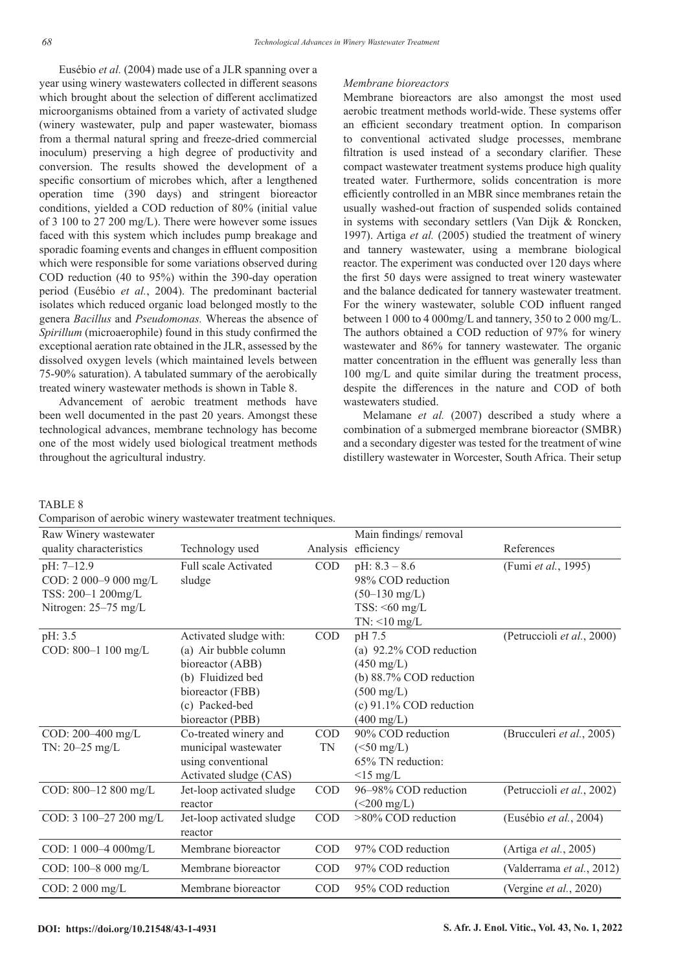Eusébio *et al.* (2004) made use of a JLR spanning over a year using winery wastewaters collected in different seasons which brought about the selection of different acclimatized microorganisms obtained from a variety of activated sludge (winery wastewater, pulp and paper wastewater, biomass from a thermal natural spring and freeze-dried commercial inoculum) preserving a high degree of productivity and conversion. The results showed the development of a specific consortium of microbes which, after a lengthened operation time (390 days) and stringent bioreactor conditions, yielded a COD reduction of 80% (initial value of 3 100 to 27 200 mg/L). There were however some issues faced with this system which includes pump breakage and sporadic foaming events and changes in effluent composition which were responsible for some variations observed during COD reduction (40 to 95%) within the 390-day operation period (Eusébio *et al.*, 2004). The predominant bacterial isolates which reduced organic load belonged mostly to the genera *Bacillus* and *Pseudomonas.* Whereas the absence of *Spirillum* (microaerophile) found in this study confirmed the exceptional aeration rate obtained in the JLR, assessed by the dissolved oxygen levels (which maintained levels between 75-90% saturation). A tabulated summary of the aerobically treated winery wastewater methods is shown in Table 8.

Advancement of aerobic treatment methods have been well documented in the past 20 years. Amongst these technological advances, membrane technology has become one of the most widely used biological treatment methods throughout the agricultural industry.

#### *Membrane bioreactors*

Membrane bioreactors are also amongst the most used aerobic treatment methods world-wide. These systems offer an efficient secondary treatment option. In comparison to conventional activated sludge processes, membrane filtration is used instead of a secondary clarifier. These compact wastewater treatment systems produce high quality treated water. Furthermore, solids concentration is more efficiently controlled in an MBR since membranes retain the usually washed-out fraction of suspended solids contained in systems with secondary settlers (Van Dijk & Roncken, 1997). Artiga *et al.* (2005) studied the treatment of winery and tannery wastewater, using a membrane biological reactor. The experiment was conducted over 120 days where the first 50 days were assigned to treat winery wastewater and the balance dedicated for tannery wastewater treatment. For the winery wastewater, soluble COD influent ranged between 1 000 to 4 000mg/L and tannery, 350 to 2 000 mg/L. The authors obtained a COD reduction of 97% for winery wastewater and 86% for tannery wastewater. The organic matter concentration in the effluent was generally less than 100 mg/L and quite similar during the treatment process, despite the differences in the nature and COD of both wastewaters studied.

Melamane *et al.* (2007) described a study where a combination of a submerged membrane bioreactor (SMBR) and a secondary digester was tested for the treatment of wine distillery wastewater in Worcester, South Africa. Their setup

#### TABLE 8

|  |  |  | Comparison of aerobic winery wastewater treatment techniques. |  |  |
|--|--|--|---------------------------------------------------------------|--|--|
|  |  |  |                                                               |  |  |

| Raw Winery wastewater    |                             |            | Main findings/removal     |                               |
|--------------------------|-----------------------------|------------|---------------------------|-------------------------------|
| quality characteristics  | Technology used             | Analysis   | efficiency                | References                    |
| pH: 7-12.9               | <b>Full scale Activated</b> | $\rm COD$  | pH: $8.3 - 8.6$           | (Fumi et al., 1995)           |
| COD: $2000-9000$ mg/L    | sludge                      |            | 98% COD reduction         |                               |
| TSS: 200-1 200mg/L       |                             |            | $(50-130 \text{ mg/L})$   |                               |
| Nitrogen: 25-75 mg/L     |                             |            | $TSS: < 60$ mg/L          |                               |
|                          |                             |            | $TN:$ <10 mg/L            |                               |
| pH: 3.5                  | Activated sludge with:      | $\rm COD$  | pH 7.5                    | (Petruccioli et al., 2000)    |
| COD: 800-1 100 mg/L      | (a) Air bubble column       |            | (a) 92.2% COD reduction   |                               |
|                          | bioreactor (ABB)            |            | $(450 \text{ mg/L})$      |                               |
|                          | (b) Fluidized bed           |            | (b) 88.7% COD reduction   |                               |
|                          | bioreactor (FBB)            |            | $(500 \text{ mg/L})$      |                               |
|                          | (c) Packed-bed              |            | $(c)$ 91.1% COD reduction |                               |
|                          | bioreactor (PBB)            |            | $(400 \text{ mg/L})$      |                               |
| COD: 200-400 mg/L        | Co-treated winery and       | <b>COD</b> | 90% COD reduction         | (Brucculeri et al., 2005)     |
| TN: $20 - 25$ mg/L       | municipal wastewater        | TN         | $(<50$ mg/L)              |                               |
|                          | using conventional          |            | 65% TN reduction:         |                               |
|                          | Activated sludge (CAS)      |            | $\leq$ 15 mg/L            |                               |
| COD: 800-12 800 mg/L     | Jet-loop activated sludge   | <b>COD</b> | 96-98% COD reduction      | (Petruccioli et al., 2002)    |
|                          | reactor                     |            | $(<200$ mg/L)             |                               |
| COD: 3 100-27 200 mg/L   | Jet-loop activated sludge   | COD        | >80% COD reduction        | (Eusébio et al., 2004)        |
|                          | reactor                     |            |                           |                               |
| COD: 1 000-4 000mg/L     | Membrane bioreactor         | <b>COD</b> | 97% COD reduction         | (Artiga <i>et al.</i> , 2005) |
| COD: 100-8 000 mg/L      | Membrane bioreactor         | <b>COD</b> | 97% COD reduction         | (Valderrama et al., 2012)     |
| COD: $2000 \text{ mg/L}$ | Membrane bioreactor         | <b>COD</b> | 95% COD reduction         | (Vergine et al., 2020)        |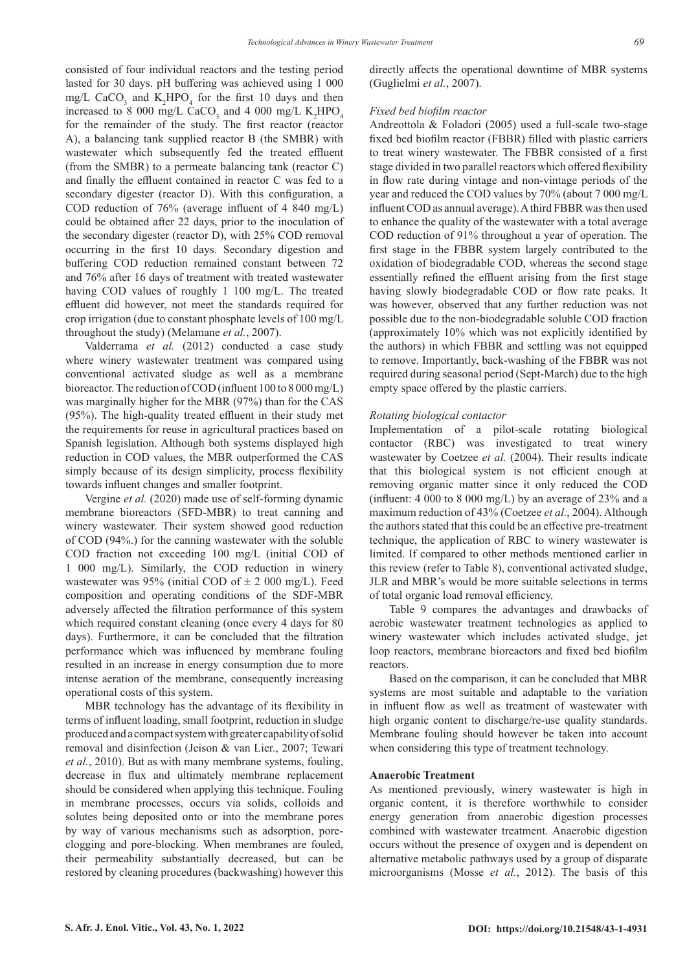consisted of four individual reactors and the testing period lasted for 30 days. pH buffering was achieved using 1 000 mg/L CaCO<sub>3</sub> and  $K_2$ HPO<sub>4</sub> for the first 10 days and then increased to 8 000 mg/L CaCO<sub>3</sub> and 4 000 mg/L  $K_2$ HPO<sub>4</sub> for the remainder of the study. The first reactor (reactor A), a balancing tank supplied reactor B (the SMBR) with wastewater which subsequently fed the treated effluent (from the SMBR) to a permeate balancing tank (reactor C) and finally the effluent contained in reactor C was fed to a secondary digester (reactor D). With this configuration, a COD reduction of 76% (average influent of 4 840 mg/L) could be obtained after 22 days, prior to the inoculation of the secondary digester (reactor D), with 25% COD removal occurring in the first 10 days. Secondary digestion and buffering COD reduction remained constant between 72 and 76% after 16 days of treatment with treated wastewater having COD values of roughly 1 100 mg/L. The treated effluent did however, not meet the standards required for crop irrigation (due to constant phosphate levels of 100 mg/L throughout the study) (Melamane *et al.*, 2007).

Valderrama *et al.* (2012) conducted a case study where winery wastewater treatment was compared using conventional activated sludge as well as a membrane bioreactor. The reduction of COD (influent 100 to 8 000 mg/L) was marginally higher for the MBR (97%) than for the CAS (95%). The high-quality treated effluent in their study met the requirements for reuse in agricultural practices based on Spanish legislation. Although both systems displayed high reduction in COD values, the MBR outperformed the CAS simply because of its design simplicity, process flexibility towards influent changes and smaller footprint.

Vergine *et al.* (2020) made use of self-forming dynamic membrane bioreactors (SFD-MBR) to treat canning and winery wastewater. Their system showed good reduction of COD (94%.) for the canning wastewater with the soluble COD fraction not exceeding 100 mg/L (initial COD of 1 000 mg/L). Similarly, the COD reduction in winery wastewater was 95% (initial COD of  $\pm$  2 000 mg/L). Feed composition and operating conditions of the SDF-MBR adversely affected the filtration performance of this system which required constant cleaning (once every 4 days for 80 days). Furthermore, it can be concluded that the filtration performance which was influenced by membrane fouling resulted in an increase in energy consumption due to more intense aeration of the membrane, consequently increasing operational costs of this system.

MBR technology has the advantage of its flexibility in terms of influent loading, small footprint, reduction in sludge produced and a compact system with greater capability of solid removal and disinfection (Jeison & van Lier., 2007; Tewari *et al.*, 2010). But as with many membrane systems, fouling, decrease in flux and ultimately membrane replacement should be considered when applying this technique. Fouling in membrane processes, occurs via solids, colloids and solutes being deposited onto or into the membrane pores by way of various mechanisms such as adsorption, poreclogging and pore-blocking. When membranes are fouled, their permeability substantially decreased, but can be restored by cleaning procedures (backwashing) however this directly affects the operational downtime of MBR systems (Guglielmi *et al.*, 2007).

#### *Fixed bed biofilm reactor*

Andreottola & Foladori (2005) used a full-scale two-stage fixed bed biofilm reactor (FBBR) filled with plastic carriers to treat winery wastewater. The FBBR consisted of a first stage divided in two parallel reactors which offered flexibility in flow rate during vintage and non-vintage periods of the year and reduced the COD values by 70% (about 7 000 mg/L influent COD as annual average). A third FBBR was then used to enhance the quality of the wastewater with a total average COD reduction of 91% throughout a year of operation. The first stage in the FBBR system largely contributed to the oxidation of biodegradable COD, whereas the second stage essentially refined the effluent arising from the first stage having slowly biodegradable COD or flow rate peaks. It was however, observed that any further reduction was not possible due to the non-biodegradable soluble COD fraction (approximately 10% which was not explicitly identified by the authors) in which FBBR and settling was not equipped to remove. Importantly, back-washing of the FBBR was not required during seasonal period (Sept-March) due to the high empty space offered by the plastic carriers.

#### *Rotating biological contactor*

Implementation of a pilot-scale rotating biological contactor (RBC) was investigated to treat winery wastewater by Coetzee *et al.* (2004). Their results indicate that this biological system is not efficient enough at removing organic matter since it only reduced the COD (influent:  $4000$  to  $8000$  mg/L) by an average of 23% and a maximum reduction of 43% (Coetzee *et al.*, 2004). Although the authors stated that this could be an effective pre-treatment technique, the application of RBC to winery wastewater is limited. If compared to other methods mentioned earlier in this review (refer to Table 8), conventional activated sludge, JLR and MBR's would be more suitable selections in terms of total organic load removal efficiency.

Table 9 compares the advantages and drawbacks of aerobic wastewater treatment technologies as applied to winery wastewater which includes activated sludge, jet loop reactors, membrane bioreactors and fixed bed biofilm reactors.

Based on the comparison, it can be concluded that MBR systems are most suitable and adaptable to the variation in influent flow as well as treatment of wastewater with high organic content to discharge/re-use quality standards. Membrane fouling should however be taken into account when considering this type of treatment technology.

#### **Anaerobic Treatment**

As mentioned previously, winery wastewater is high in organic content, it is therefore worthwhile to consider energy generation from anaerobic digestion processes combined with wastewater treatment. Anaerobic digestion occurs without the presence of oxygen and is dependent on alternative metabolic pathways used by a group of disparate microorganisms (Mosse *et al.*, 2012). The basis of this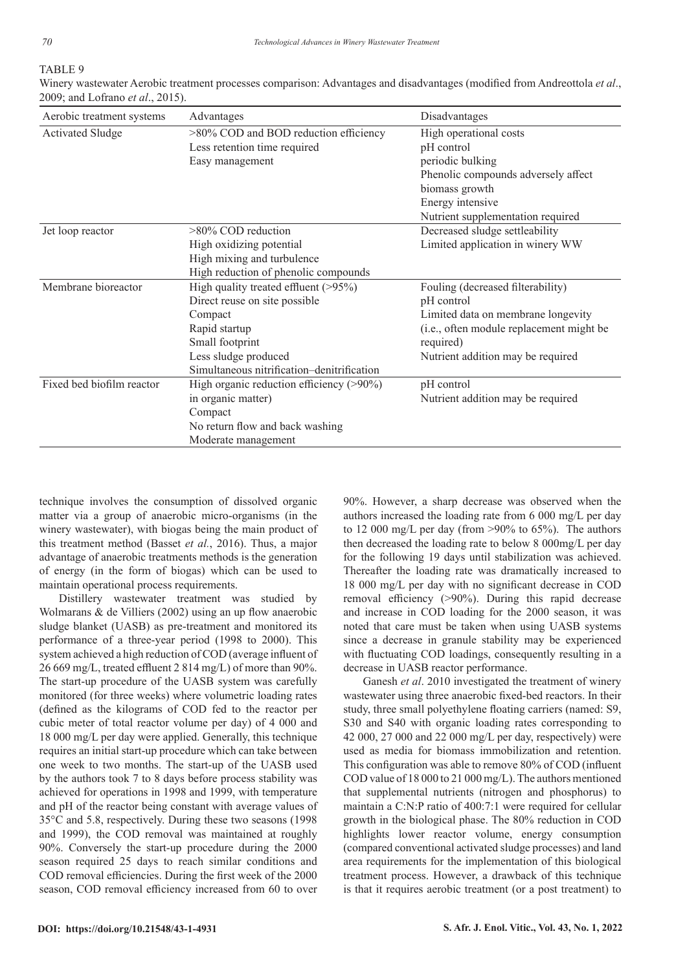# TABLE 9

Winery wastewater Aerobic treatment processes comparison: Advantages and disadvantages (modified from Andreottola *et al*., 2009; and Lofrano *et al*., 2015).

| Aerobic treatment systems | Advantages                                 | Disadvantages                            |
|---------------------------|--------------------------------------------|------------------------------------------|
| <b>Activated Sludge</b>   | >80% COD and BOD reduction efficiency      | High operational costs                   |
|                           | Less retention time required               | pH control                               |
|                           | Easy management                            | periodic bulking                         |
|                           |                                            | Phenolic compounds adversely affect      |
|                           |                                            | biomass growth                           |
|                           |                                            | Energy intensive                         |
|                           |                                            | Nutrient supplementation required        |
| Jet loop reactor          | >80% COD reduction                         | Decreased sludge settleability           |
|                           | High oxidizing potential                   | Limited application in winery WW         |
|                           | High mixing and turbulence                 |                                          |
|                           | High reduction of phenolic compounds       |                                          |
| Membrane bioreactor       | High quality treated effluent (>95%)       | Fouling (decreased filterability)        |
|                           | Direct reuse on site possible              | pH control                               |
|                           | Compact                                    | Limited data on membrane longevity       |
|                           | Rapid startup                              | (i.e., often module replacement might be |
|                           | Small footprint                            | required)                                |
|                           | Less sludge produced                       | Nutrient addition may be required        |
|                           | Simultaneous nitrification-denitrification |                                          |
| Fixed bed biofilm reactor | High organic reduction efficiency (>90%)   | pH control                               |
|                           | in organic matter)                         | Nutrient addition may be required        |
|                           | Compact                                    |                                          |
|                           | No return flow and back washing            |                                          |
|                           | Moderate management                        |                                          |

technique involves the consumption of dissolved organic matter via a group of anaerobic micro-organisms (in the winery wastewater), with biogas being the main product of this treatment method (Basset *et al.*, 2016). Thus, a major advantage of anaerobic treatments methods is the generation of energy (in the form of biogas) which can be used to maintain operational process requirements.

Distillery wastewater treatment was studied by Wolmarans & de Villiers (2002) using an up flow anaerobic sludge blanket (UASB) as pre-treatment and monitored its performance of a three-year period (1998 to 2000). This system achieved a high reduction of COD (average influent of 26 669 mg/L, treated effluent 2 814 mg/L) of more than 90%. The start-up procedure of the UASB system was carefully monitored (for three weeks) where volumetric loading rates (defined as the kilograms of COD fed to the reactor per cubic meter of total reactor volume per day) of 4 000 and 18 000 mg/L per day were applied. Generally, this technique requires an initial start-up procedure which can take between one week to two months. The start-up of the UASB used by the authors took 7 to 8 days before process stability was achieved for operations in 1998 and 1999, with temperature and pH of the reactor being constant with average values of 35°C and 5.8, respectively. During these two seasons (1998 and 1999), the COD removal was maintained at roughly 90%. Conversely the start-up procedure during the 2000 season required 25 days to reach similar conditions and COD removal efficiencies. During the first week of the 2000 season, COD removal efficiency increased from 60 to over 90%. However, a sharp decrease was observed when the authors increased the loading rate from 6 000 mg/L per day to 12 000 mg/L per day (from >90% to 65%). The authors then decreased the loading rate to below 8 000mg/L per day for the following 19 days until stabilization was achieved. Thereafter the loading rate was dramatically increased to 18 000 mg/L per day with no significant decrease in COD removal efficiency (>90%). During this rapid decrease and increase in COD loading for the 2000 season, it was noted that care must be taken when using UASB systems since a decrease in granule stability may be experienced with fluctuating COD loadings, consequently resulting in a decrease in UASB reactor performance.

Ganesh *et al*. 2010 investigated the treatment of winery wastewater using three anaerobic fixed-bed reactors. In their study, three small polyethylene floating carriers (named: S9, S30 and S40 with organic loading rates corresponding to 42 000, 27 000 and 22 000 mg/L per day, respectively) were used as media for biomass immobilization and retention. This configuration was able to remove 80% of COD (influent COD value of 18 000 to 21 000 mg/L). The authors mentioned that supplemental nutrients (nitrogen and phosphorus) to maintain a C:N:P ratio of 400:7:1 were required for cellular growth in the biological phase. The 80% reduction in COD highlights lower reactor volume, energy consumption (compared conventional activated sludge processes) and land area requirements for the implementation of this biological treatment process. However, a drawback of this technique is that it requires aerobic treatment (or a post treatment) to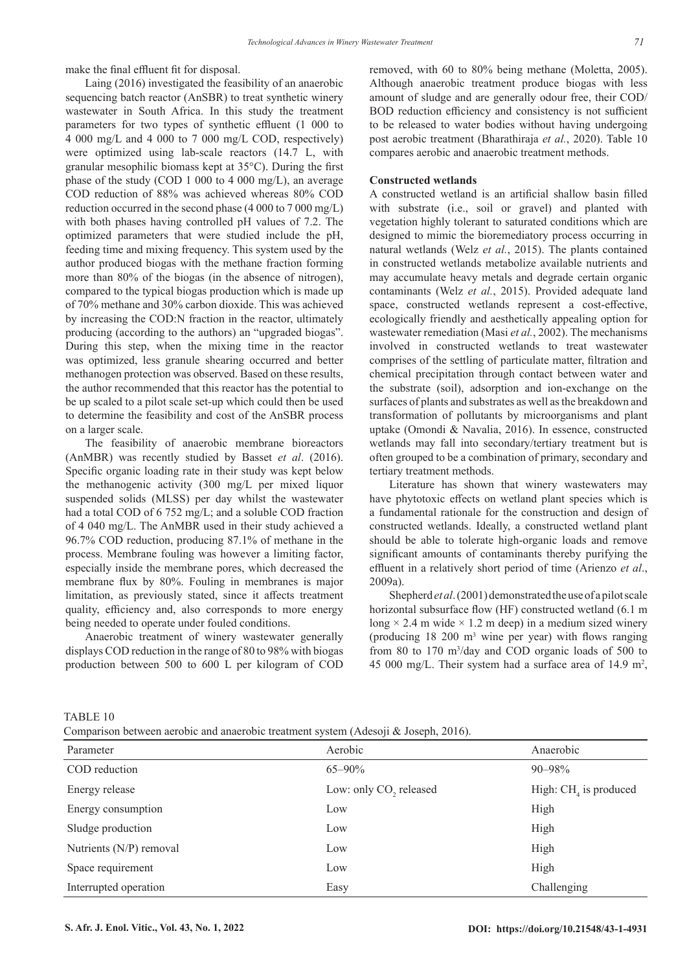make the final effluent fit for disposal.

Laing (2016) investigated the feasibility of an anaerobic sequencing batch reactor (AnSBR) to treat synthetic winery wastewater in South Africa. In this study the treatment parameters for two types of synthetic effluent (1 000 to 4 000 mg/L and 4 000 to 7 000 mg/L COD, respectively) were optimized using lab-scale reactors (14.7 L, with granular mesophilic biomass kept at 35°C). During the first phase of the study (COD 1 000 to 4 000 mg/L), an average COD reduction of 88% was achieved whereas 80% COD reduction occurred in the second phase (4 000 to 7 000 mg/L) with both phases having controlled pH values of 7.2. The optimized parameters that were studied include the pH, feeding time and mixing frequency. This system used by the author produced biogas with the methane fraction forming more than 80% of the biogas (in the absence of nitrogen), compared to the typical biogas production which is made up of 70% methane and 30% carbon dioxide. This was achieved by increasing the COD:N fraction in the reactor, ultimately producing (according to the authors) an "upgraded biogas". During this step, when the mixing time in the reactor was optimized, less granule shearing occurred and better methanogen protection was observed. Based on these results, the author recommended that this reactor has the potential to be up scaled to a pilot scale set-up which could then be used to determine the feasibility and cost of the AnSBR process on a larger scale.

The feasibility of anaerobic membrane bioreactors (AnMBR) was recently studied by Basset *et al*. (2016). Specific organic loading rate in their study was kept below the methanogenic activity (300 mg/L per mixed liquor suspended solids (MLSS) per day whilst the wastewater had a total COD of 6 752 mg/L; and a soluble COD fraction of 4 040 mg/L. The AnMBR used in their study achieved a 96.7% COD reduction, producing 87.1% of methane in the process. Membrane fouling was however a limiting factor, especially inside the membrane pores, which decreased the membrane flux by 80%. Fouling in membranes is major limitation, as previously stated, since it affects treatment quality, efficiency and, also corresponds to more energy being needed to operate under fouled conditions.

Anaerobic treatment of winery wastewater generally displays COD reduction in the range of 80 to 98% with biogas production between 500 to 600 L per kilogram of COD removed, with 60 to 80% being methane (Moletta, 2005). Although anaerobic treatment produce biogas with less amount of sludge and are generally odour free, their COD/ BOD reduction efficiency and consistency is not sufficient to be released to water bodies without having undergoing post aerobic treatment (Bharathiraja *et al.*, 2020). Table 10 compares aerobic and anaerobic treatment methods.

#### **Constructed wetlands**

A constructed wetland is an artificial shallow basin filled with substrate (i.e., soil or gravel) and planted with vegetation highly tolerant to saturated conditions which are designed to mimic the bioremediatory process occurring in natural wetlands (Welz *et al.*, 2015). The plants contained in constructed wetlands metabolize available nutrients and may accumulate heavy metals and degrade certain organic contaminants (Welz *et al.*, 2015). Provided adequate land space, constructed wetlands represent a cost-effective, ecologically friendly and aesthetically appealing option for wastewater remediation (Masi *et al.*, 2002). The mechanisms involved in constructed wetlands to treat wastewater comprises of the settling of particulate matter, filtration and chemical precipitation through contact between water and the substrate (soil), adsorption and ion-exchange on the surfaces of plants and substrates as well as the breakdown and transformation of pollutants by microorganisms and plant uptake (Omondi & Navalia, 2016). In essence, constructed wetlands may fall into secondary/tertiary treatment but is often grouped to be a combination of primary, secondary and tertiary treatment methods.

Literature has shown that winery wastewaters may have phytotoxic effects on wetland plant species which is a fundamental rationale for the construction and design of constructed wetlands. Ideally, a constructed wetland plant should be able to tolerate high-organic loads and remove significant amounts of contaminants thereby purifying the effluent in a relatively short period of time (Arienzo *et al*., 2009a).

Shepherd *et al*. (2001) demonstrated the use of a pilot scale horizontal subsurface flow (HF) constructed wetland (6.1 m long  $\times$  2.4 m wide  $\times$  1.2 m deep) in a medium sized winery (producing  $18, 200$  m<sup>3</sup> wine per year) with flows ranging from 80 to 170 m<sup>3</sup>/day and COD organic loads of 500 to 45 000 mg/L. Their system had a surface area of 14.9 m<sup>2</sup>,

TABLE 10

Comparison between aerobic and anaerobic treatment system (Adesoji & Joseph, 2016).

| Parameter               | Aerobic                            | Anaerobic               |
|-------------------------|------------------------------------|-------------------------|
| COD reduction           | $65 - 90\%$                        | 90–98%                  |
| Energy release          | Low: only CO <sub>2</sub> released | High: $CH4$ is produced |
| Energy consumption      | Low                                | High                    |
| Sludge production       | Low                                | High                    |
| Nutrients (N/P) removal | Low                                | High                    |
| Space requirement       | Low                                | High                    |
| Interrupted operation   | Easy                               | Challenging             |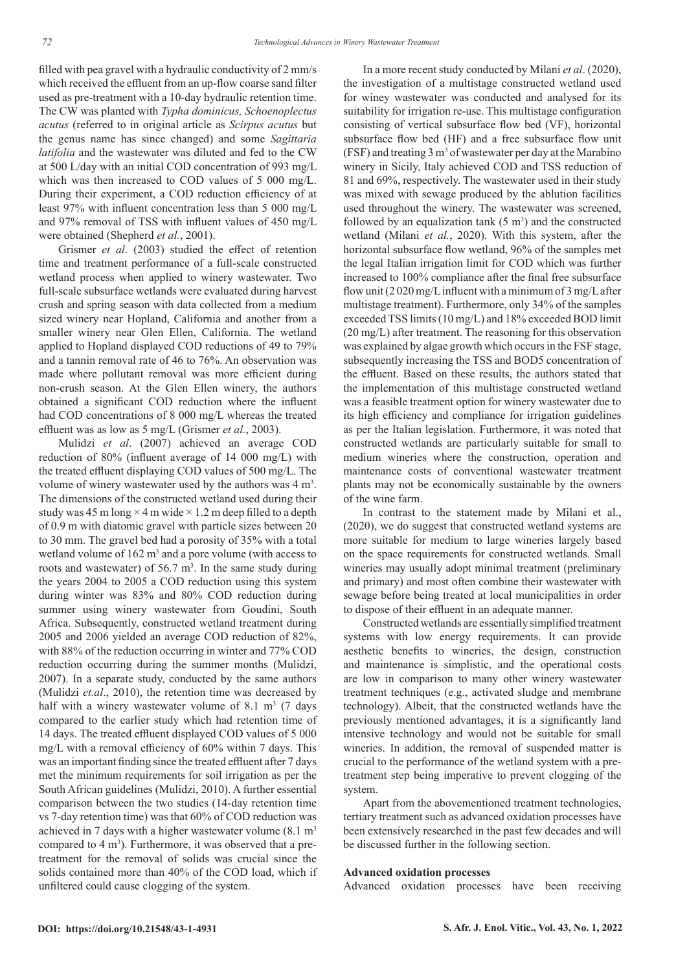filled with pea gravel with a hydraulic conductivity of 2 mm/s which received the effluent from an up-flow coarse sand filter used as pre-treatment with a 10-day hydraulic retention time. The CW was planted with *Typha dominicus, Schoenoplectus acutus* (referred to in original article as *Scirpus acutus* but the genus name has since changed) and some *Sagittaria latifolia* and the wastewater was diluted and fed to the CW at 500 L/day with an initial COD concentration of 993 mg/L which was then increased to COD values of 5 000 mg/L. During their experiment, a COD reduction efficiency of at least 97% with influent concentration less than 5 000 mg/L and 97% removal of TSS with influent values of 450 mg/L were obtained (Shepherd *et al.*, 2001).

Grismer *et al*. (2003) studied the effect of retention time and treatment performance of a full-scale constructed wetland process when applied to winery wastewater. Two full-scale subsurface wetlands were evaluated during harvest crush and spring season with data collected from a medium sized winery near Hopland, California and another from a smaller winery near Glen Ellen, California. The wetland applied to Hopland displayed COD reductions of 49 to 79% and a tannin removal rate of 46 to 76%. An observation was made where pollutant removal was more efficient during non-crush season. At the Glen Ellen winery, the authors obtained a significant COD reduction where the influent had COD concentrations of 8 000 mg/L whereas the treated effluent was as low as 5 mg/L (Grismer *et al.*, 2003).

Mulidzi *et al*. (2007) achieved an average COD reduction of 80% (influent average of 14 000 mg/L) with the treated effluent displaying COD values of 500 mg/L. The volume of winery wastewater used by the authors was  $4 \text{ m}^3$ . The dimensions of the constructed wetland used during their study was 45 m long  $\times$  4 m wide  $\times$  1.2 m deep filled to a depth of 0.9 m with diatomic gravel with particle sizes between 20 to 30 mm. The gravel bed had a porosity of 35% with a total wetland volume of  $162 \text{ m}^3$  and a pore volume (with access to roots and wastewater) of  $56.7 \text{ m}^3$ . In the same study during the years 2004 to 2005 a COD reduction using this system during winter was 83% and 80% COD reduction during summer using winery wastewater from Goudini, South Africa. Subsequently, constructed wetland treatment during 2005 and 2006 yielded an average COD reduction of 82%, with 88% of the reduction occurring in winter and 77% COD reduction occurring during the summer months (Mulidzi, 2007). In a separate study, conducted by the same authors (Mulidzi *et.al*., 2010), the retention time was decreased by half with a winery wastewater volume of  $8.1 \text{ m}^3$  (7 days compared to the earlier study which had retention time of 14 days. The treated effluent displayed COD values of 5 000 mg/L with a removal efficiency of 60% within 7 days. This was an important finding since the treated effluent after 7 days met the minimum requirements for soil irrigation as per the South African guidelines (Mulidzi, 2010). A further essential comparison between the two studies (14-day retention time vs 7-day retention time) was that 60% of COD reduction was achieved in 7 days with a higher wastewater volume  $(8.1 \text{ m}^3)$ compared to  $4 \text{ m}^3$ ). Furthermore, it was observed that a pretreatment for the removal of solids was crucial since the solids contained more than 40% of the COD load, which if unfiltered could cause clogging of the system.

In a more recent study conducted by Milani *et al*. (2020), the investigation of a multistage constructed wetland used for winey wastewater was conducted and analysed for its suitability for irrigation re-use. This multistage configuration consisting of vertical subsurface flow bed (VF), horizontal subsurface flow bed (HF) and a free subsurface flow unit  $(FSF)$  and treating 3 m<sup>3</sup> of wastewater per day at the Marabino winery in Sicily, Italy achieved COD and TSS reduction of 81 and 69%, respectively. The wastewater used in their study was mixed with sewage produced by the ablution facilities used throughout the winery. The wastewater was screened, followed by an equalization tank  $(5 \text{ m}^3)$  and the constructed wetland (Milani *et al.*, 2020). With this system, after the horizontal subsurface flow wetland, 96% of the samples met the legal Italian irrigation limit for COD which was further increased to 100% compliance after the final free subsurface flow unit (2 020 mg/L influent with a minimum of 3 mg/L after multistage treatment). Furthermore, only 34% of the samples exceeded TSS limits (10 mg/L) and 18% exceeded BOD limit (20 mg/L) after treatment. The reasoning for this observation was explained by algae growth which occurs in the FSF stage, subsequently increasing the TSS and BOD5 concentration of the effluent. Based on these results, the authors stated that the implementation of this multistage constructed wetland was a feasible treatment option for winery wastewater due to its high efficiency and compliance for irrigation guidelines as per the Italian legislation. Furthermore, it was noted that constructed wetlands are particularly suitable for small to medium wineries where the construction, operation and maintenance costs of conventional wastewater treatment plants may not be economically sustainable by the owners of the wine farm.

In contrast to the statement made by Milani et al., (2020), we do suggest that constructed wetland systems are more suitable for medium to large wineries largely based on the space requirements for constructed wetlands. Small wineries may usually adopt minimal treatment (preliminary and primary) and most often combine their wastewater with sewage before being treated at local municipalities in order to dispose of their effluent in an adequate manner.

Constructed wetlands are essentially simplified treatment systems with low energy requirements. It can provide aesthetic benefits to wineries, the design, construction and maintenance is simplistic, and the operational costs are low in comparison to many other winery wastewater treatment techniques (e.g., activated sludge and membrane technology). Albeit, that the constructed wetlands have the previously mentioned advantages, it is a significantly land intensive technology and would not be suitable for small wineries. In addition, the removal of suspended matter is crucial to the performance of the wetland system with a pretreatment step being imperative to prevent clogging of the system.

Apart from the abovementioned treatment technologies, tertiary treatment such as advanced oxidation processes have been extensively researched in the past few decades and will be discussed further in the following section.

#### **Advanced oxidation processes**

Advanced oxidation processes have been receiving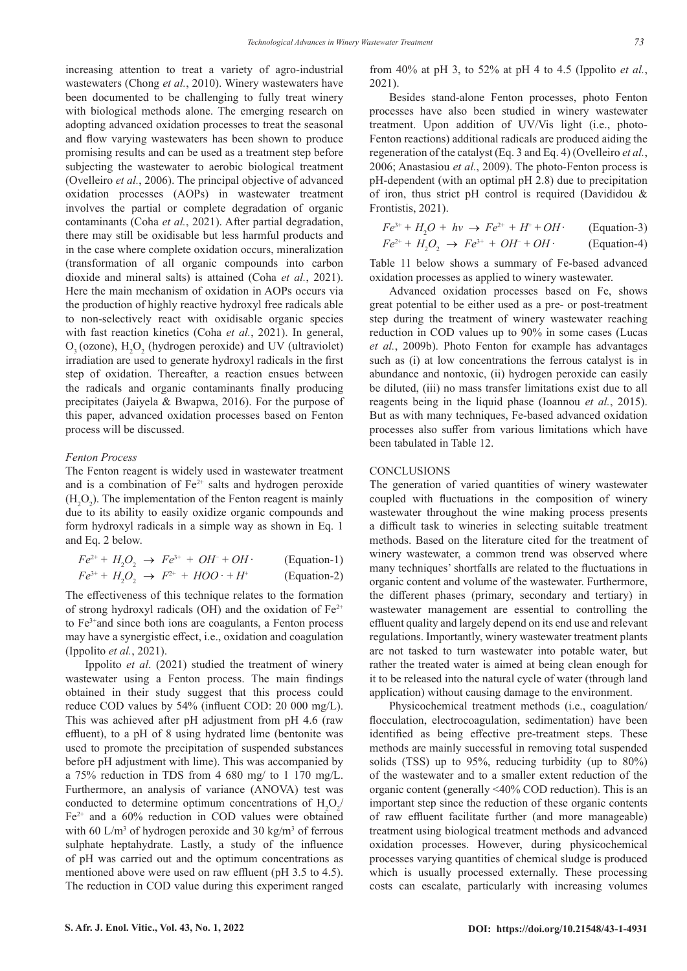increasing attention to treat a variety of agro-industrial wastewaters (Chong *et al.*, 2010). Winery wastewaters have been documented to be challenging to fully treat winery with biological methods alone. The emerging research on adopting advanced oxidation processes to treat the seasonal and flow varying wastewaters has been shown to produce promising results and can be used as a treatment step before subjecting the wastewater to aerobic biological treatment (Ovelleiro *et al.*, 2006). The principal objective of advanced oxidation processes (AOPs) in wastewater treatment involves the partial or complete degradation of organic contaminants (Coha *et al.*, 2021). After partial degradation, there may still be oxidisable but less harmful products and in the case where complete oxidation occurs, mineralization (transformation of all organic compounds into carbon dioxide and mineral salts) is attained (Coha *et al.*, 2021). Here the main mechanism of oxidation in AOPs occurs via the production of highly reactive hydroxyl free radicals able to non-selectively react with oxidisable organic species with fast reaction kinetics (Coha *et al.*, 2021). In general,  $O_3$  (ozone),  $H_2O_2$  (hydrogen peroxide) and UV (ultraviolet) irradiation are used to generate hydroxyl radicals in the first step of oxidation. Thereafter, a reaction ensues between the radicals and organic contaminants finally producing precipitates (Jaiyela & Bwapwa, 2016). For the purpose of this paper, advanced oxidation processes based on Fenton process will be discussed.

#### *Fenton Process*

The Fenton reagent is widely used in wastewater treatment and is a combination of  $Fe<sup>2+</sup>$  salts and hydrogen peroxide  $(H<sub>2</sub>O<sub>2</sub>)$ . The implementation of the Fenton reagent is mainly due to its ability to easily oxidize organic compounds and form hydroxyl radicals in a simple way as shown in Eq. 1 and Eq. 2 below.

$$
Fe^{2+} + H_2O_2 \rightarrow Fe^{3+} + OH + OH
$$
 (Equation-1)  

$$
Fe^{3+} + H_2O_2 \rightarrow F^{2+} + HOO \cdot + H^+
$$
 (Equation-2)

The effectiveness of this technique relates to the formation of strong hydroxyl radicals (OH) and the oxidation of  $Fe^{2+}$ to Fe3+and since both ions are coagulants, a Fenton process may have a synergistic effect, i.e., oxidation and coagulation (Ippolito *et al.*, 2021).

Ippolito *et al*. (2021) studied the treatment of winery wastewater using a Fenton process. The main findings obtained in their study suggest that this process could reduce COD values by 54% (influent COD: 20 000 mg/L). This was achieved after pH adjustment from pH 4.6 (raw effluent), to a pH of 8 using hydrated lime (bentonite was used to promote the precipitation of suspended substances before pH adjustment with lime). This was accompanied by a 75% reduction in TDS from 4 680 mg/ to 1 170 mg/L. Furthermore, an analysis of variance (ANOVA) test was conducted to determine optimum concentrations of  $H_2O_2$ / Fe2+ and a 60% reduction in COD values were obtained with 60 L/m<sup>3</sup> of hydrogen peroxide and 30 kg/m<sup>3</sup> of ferrous sulphate heptahydrate. Lastly, a study of the influence of pH was carried out and the optimum concentrations as mentioned above were used on raw effluent (pH 3.5 to 4.5). The reduction in COD value during this experiment ranged

from 40% at pH 3, to 52% at pH 4 to 4.5 (Ippolito *et al.*, 2021).

Besides stand-alone Fenton processes, photo Fenton processes have also been studied in winery wastewater treatment. Upon addition of UV/Vis light (i.e., photo-Fenton reactions) additional radicals are produced aiding the regeneration of the catalyst (Eq. 3 and Eq. 4) (Ovelleiro *et al.*, 2006; Anastasiou *et al.*, 2009). The photo-Fenton process is pH-dependent (with an optimal pH 2.8) due to precipitation of iron, thus strict pH control is required (Davididou & Frontistis, 2021).

$$
Fe^{3+} + H_2O + hv \rightarrow Fe^{2+} + H^+ + OH \cdot \text{(Equation-3)}
$$

$$
Fe^{2+} + H_2O_2 \rightarrow Fe^{3+} + OH^- + OH \cdot \qquad \text{(Equation-4)}
$$

Table 11 below shows a summary of Fe-based advanced oxidation processes as applied to winery wastewater.

Advanced oxidation processes based on Fe, shows great potential to be either used as a pre- or post-treatment step during the treatment of winery wastewater reaching reduction in COD values up to 90% in some cases (Lucas *et al.*, 2009b). Photo Fenton for example has advantages such as (i) at low concentrations the ferrous catalyst is in abundance and nontoxic, (ii) hydrogen peroxide can easily be diluted, (iii) no mass transfer limitations exist due to all reagents being in the liquid phase (Ioannou *et al.*, 2015). But as with many techniques, Fe-based advanced oxidation processes also suffer from various limitations which have been tabulated in Table 12.

#### **CONCLUSIONS**

The generation of varied quantities of winery wastewater coupled with fluctuations in the composition of winery wastewater throughout the wine making process presents a difficult task to wineries in selecting suitable treatment methods. Based on the literature cited for the treatment of winery wastewater, a common trend was observed where many techniques' shortfalls are related to the fluctuations in organic content and volume of the wastewater. Furthermore, the different phases (primary, secondary and tertiary) in wastewater management are essential to controlling the effluent quality and largely depend on its end use and relevant regulations. Importantly, winery wastewater treatment plants are not tasked to turn wastewater into potable water, but rather the treated water is aimed at being clean enough for it to be released into the natural cycle of water (through land application) without causing damage to the environment.

Physicochemical treatment methods (i.e., coagulation/ flocculation, electrocoagulation, sedimentation) have been identified as being effective pre-treatment steps. These methods are mainly successful in removing total suspended solids (TSS) up to 95%, reducing turbidity (up to 80%) of the wastewater and to a smaller extent reduction of the organic content (generally <40% COD reduction). This is an important step since the reduction of these organic contents of raw effluent facilitate further (and more manageable) treatment using biological treatment methods and advanced oxidation processes. However, during physicochemical processes varying quantities of chemical sludge is produced which is usually processed externally. These processing costs can escalate, particularly with increasing volumes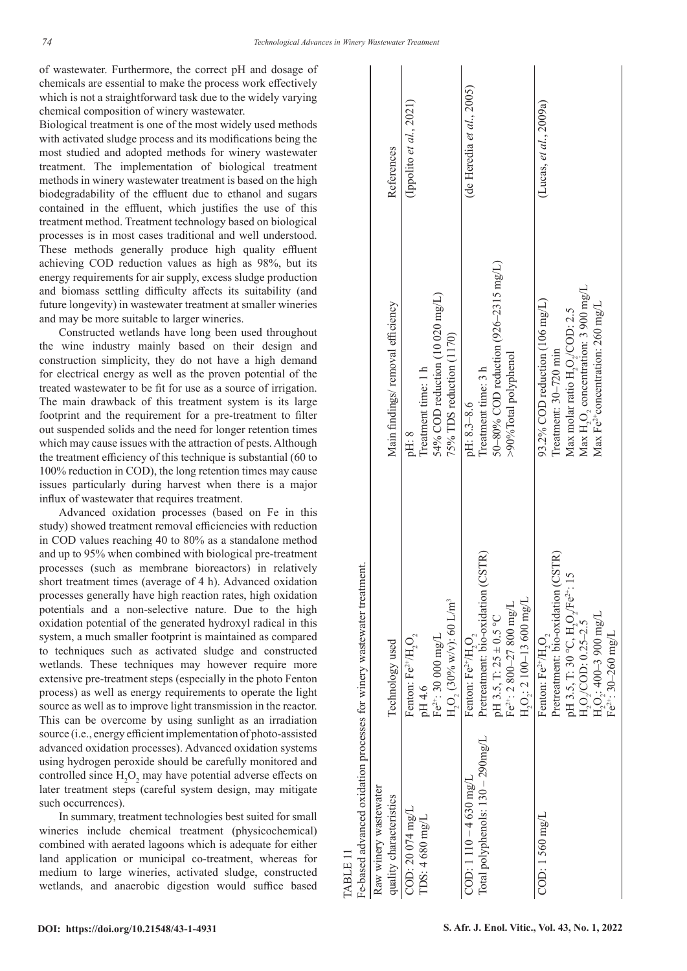of wastewater. Furthermore, the correct pH and dosage of chemicals are essential to make the process work effectively which is not a straightforward task due to the widely varying chemical composition of winery wastewater.

Biological treatment is one of the most widely used methods with activated sludge process and its modifications being the most studied and adopted methods for winery wastewater treatment. The implementation of biological treatment methods in winery wastewater treatment is based on the high biodegradability of the effluent due to ethanol and sugars contained in the effluent, which justifies the use of this treatment method. Treatment technology based on biological processes is in most cases traditional and well understood. These methods generally produce high quality effluent achieving COD reduction values as high as 98%, but its energy requirements for air supply, excess sludge production and biomass settling difficulty affects its suitability (and future longevity) in wastewater treatment at smaller wineries and may be more suitable to larger wineries.

Constructed wetlands have long been used throughout the wine industry mainly based on their design and construction simplicity, they do not have a high demand for electrical energy as well as the proven potential of the treated wastewater to be fit for use as a source of irrigation. The main drawback of this treatment system is its large footprint and the requirement for a pre-treatment to filter out suspended solids and the need for longer retention times which may cause issues with the attraction of pests. Although the treatment efficiency of this technique is substantial (60 to 100% reduction in COD), the long retention times may cause issues particularly during harvest when there is a major influx of wastewater that requires treatment.

Advanced oxidation processes (based on Fe in this study) showed treatment removal efficiencies with reduction in COD values reaching 40 to 80% as a standalone method and up to 95% when combined with biological pre-treatment processes (such as membrane bioreactors) in relatively short treatment times (average of 4 h). Advanced oxidation processes generally have high reaction rates, high oxidation potentials and a non-selective nature. Due to the high oxidation potential of the generated hydroxyl radical in this system, a much smaller footprint is maintained as compared to techniques such as activated sludge and constructed wetlands. These techniques may however require more extensive pre-treatment steps (especially in the photo Fenton process) as well as energy requirements to operate the light source as well as to improve light transmission in the reactor. This can be overcome by using sunlight as an irradiation source (i.e., energy efficient implementation of photo-assisted advanced oxidation processes). Advanced oxidation systems using hydrogen peroxide should be carefully monitored and controlled since  $H_2O_2$  may have potential adverse effects on later treatment steps (careful system design, may mitigate such occurrences).

In summary, treatment technologies best suited for small wineries include chemical treatment (physicochemical) combined with aerated lagoons which is adequate for either land application or municipal co-treatment, whereas for medium to large wineries, activated sludge, constructed wetlands, and anaerobic digestion would suffice based

| TABLE 11                                                               |                                                      |                                              |                              |
|------------------------------------------------------------------------|------------------------------------------------------|----------------------------------------------|------------------------------|
| Fe-based advanced oxidation processes for winery wastewater treatment. |                                                      |                                              |                              |
| Raw winery wastewater                                                  |                                                      |                                              |                              |
| quality characteristics                                                | Technology used                                      | Main findings/removal efficiency             | References                   |
| COD: 20 074 mg/L                                                       | Fenton: $Fe^{2+}/H_2O_2$                             | pH: 8                                        | (Ippolito et $al., 2021$ )   |
| TDS: 4680 mg/L                                                         | pH 4.6                                               | Treatment time: 1 h                          |                              |
|                                                                        | $Fe^{2+}$ : 30 000 mg/L                              | 54% COD reduction (10 020 mg/L)              |                              |
|                                                                        | $H_2O_2(30\%$ w/v): 60 L/m <sup>3</sup>              | 75% TDS reduction (1170)                     |                              |
| $COD: 1110 - 4630$ mg/L                                                | Fenton: Fe <sup>2+</sup> /H, O,                      | pH: 8.3-8.6                                  | (de Heredia et al., $2005$ ) |
| Total polyphenols: 130 - 290mg/L                                       | Pretreatment: bio-oxidation (CSTR)                   | Treatment time: 3 h                          |                              |
|                                                                        | pH 3.5, T: $25 \pm 0.5$ °C                           | $50 - 80\%$ COD reduction (926–2315 mg/L)    |                              |
|                                                                        | $Fe^{2+}$ : 2 800-27 800 mg/L                        | >90%Total polyphenol                         |                              |
|                                                                        | $H_2O_2$ : 2 100-13 600 mg/L                         |                                              |                              |
| COD: 1560 mg/L                                                         | Fenton: Fe <sup>2+</sup> /H,O,                       | 93.2% COD reduction (106 mg/L)               | (Lucas, et al., $2009a$ )    |
|                                                                        | Pretreatment: bio-oxidation (CSTR)                   | Treatment: 30-720 min                        |                              |
|                                                                        | pH 3.5, T: 30 °C, H, O, $\text{Fe}^{2+}$ : 15        | Max molar ratio H, O,/COD: 2.5               |                              |
|                                                                        |                                                      | Max H,O, concentration: 3 900 mg/L           |                              |
|                                                                        | $H_2O_2$ /COD: 0.25–2.5<br>$H_2O_2$ : 400–3 900 mg/L | Max Fe <sup>2+</sup> concentration: 260 mg/L |                              |
|                                                                        | Fe <sup>2+</sup> : 30-260 mg/L                       |                                              |                              |
|                                                                        |                                                      |                                              |                              |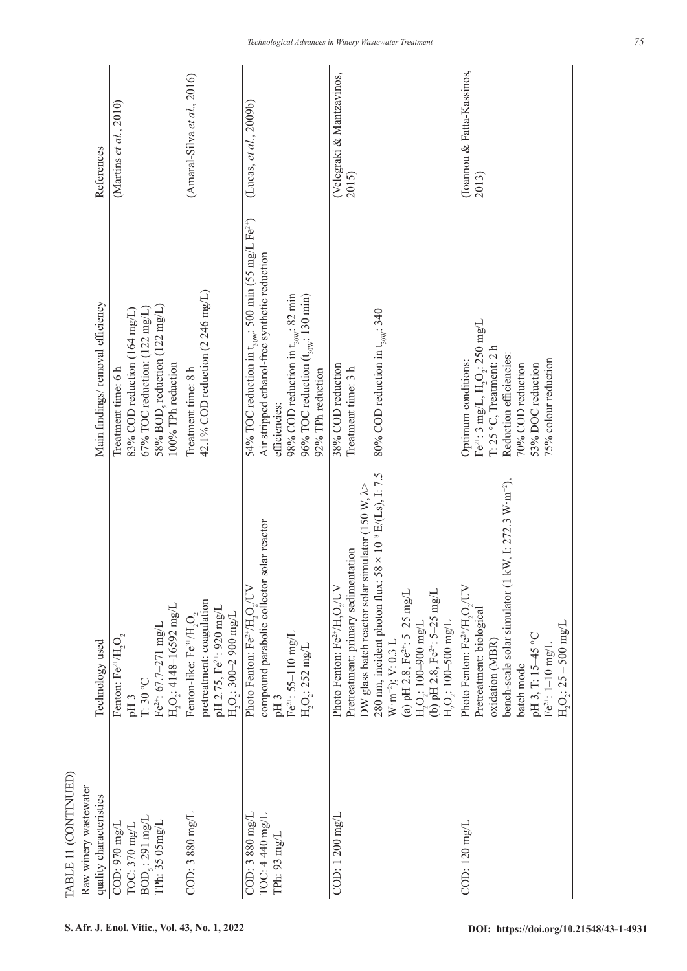| TABLE 11 (CONTINUED)                                                     |                                                                                                                                                                                                                                                                                                                                                                                                                            |                                                                                                                                                                                                                                                                                     |                                    |
|--------------------------------------------------------------------------|----------------------------------------------------------------------------------------------------------------------------------------------------------------------------------------------------------------------------------------------------------------------------------------------------------------------------------------------------------------------------------------------------------------------------|-------------------------------------------------------------------------------------------------------------------------------------------------------------------------------------------------------------------------------------------------------------------------------------|------------------------------------|
| Raw winery wastewater<br>quality characteristics                         | Technology used                                                                                                                                                                                                                                                                                                                                                                                                            | Main findings/removal efficiency                                                                                                                                                                                                                                                    | References                         |
| $BOD_{5}$ : 291 mg/L<br>COD: 970 mg/L<br>TPh: 35 05mg/L<br>TOC: 370 mg/L | $H_2O_2$ : 4148-16592 mg/L<br>Fe <sup>2+</sup> : 67.7-271 mg/L<br>Fenton: $\rm Fe^{2+}/H_2O_2$<br>$T:30\ ^o\rm{C}$<br>pH <sub>3</sub>                                                                                                                                                                                                                                                                                      | $58\%$ BOD <sub>5</sub> reduction (122 mg/L)<br>67% TOC reduction: $(122 \text{ mg/L})$<br>83% COD reduction (164 mg/L)<br>100% TPh reduction<br>Treatment time: 6 h                                                                                                                | (Martins et al., 2010)             |
| COD: 3 880 mg/L                                                          | pretreatment: coagulation<br>pH 2.75, Fe <sup>2+</sup> : 920 mg/L<br>$\mathrm{H}_2\mathrm{O}_2$ : 300–2 900 mg/L<br>Fenton-like: $Fe^{3+}/H_2O_2$                                                                                                                                                                                                                                                                          | 42.1% COD reduction (2 246 mg/L)<br>Treatment time: 8 h                                                                                                                                                                                                                             | $(Amaral-Silva et al., 2016)$      |
| $COD: 3880$ mg/L<br>TOC: 4 440 mg/L<br>TPh: 93 mg/L                      | solar reactor<br>compound parabolic collector<br>Photo Fenton: Fe <sup>2+</sup> /H <sub>2</sub> O <sub>2</sub> /UV<br>$Fe^{2+}$ : 55-110 mg/L<br>$H_2O_2$ : 252 mg/L<br>pH <sub>3</sub>                                                                                                                                                                                                                                    | 54% TOC reduction in $t_{30\%}$ : 500 min (55 mg/L Fe <sup>2+</sup> )<br>Air stripped ethanol-free synthetic reduction<br>98% COD reduction in t <sub>30w</sub> ; 82 min<br>96% TOC reduction $(\mathrm{t_{\mathrm{30W}}\mathrm{;130\ min}})$<br>92% TPh reduction<br>efficiencies: | (Lucas, et al., $2009b$ )          |
| $COD: 1200$ mg/L                                                         | 280 nm, incident photon flux: $58 \times 10^{-8}$ E/(Ls), I: 7.5<br>DW glass batch reactor solar simulator (150 W, $\lambda$ ><br>Pretreatment: primary sedimentation<br>Photo Fenton: $\rm Fe^{2+}/H_2O_2/UV$<br>(b) pH 2.8, Fe <sup>2+</sup> : 5-25 mg/L<br>(a) pH 2.8, $Fe^{2+}: 5-25$ mg/L<br>$\mathrm{H}_2\mathrm{O}_2$ : 100–900 mg/L<br>$\mathrm{H}_2\mathrm{O}_2$ : 100–500 mg/L<br>$W \cdot m^{-2}$ ); $V: 0.3 L$ | 80% COD reduction in $t_{30w}$ : 340<br>38% COD reduction<br>Treatment time: 3 h                                                                                                                                                                                                    | (Velegraki & Mantzavinos,<br>2015) |
| COD: 120 mg/L                                                            | kW, I: 272.3 W $\cdot$ m <sup>-2</sup> ),<br>bench-scale solar simulator (1<br>Photo Fenton: Fe <sup>2+</sup> /H,O,/UV<br>Pretreatment: biological<br>$H_2O_2$ : 25 – 500 mg/L<br>pH 3, T: 15-45 °C<br>oxidation (MBR)<br>$Fe2+: 1–10 mg/L$<br>batch mode                                                                                                                                                                  | Fe $^{2+}$ : 3 mg/L, $\rm{H_2O_2}$ : 250 mg/L<br>$T: 25 °C$ , Treatment: $2 h$<br>Reduction efficiencies:<br>75% colour reduction<br>Optimum conditions:<br>70% COD reduction<br>53% DOC reduction                                                                                  | Toannou & Fatta-Kassinos,<br>2013) |
|                                                                          |                                                                                                                                                                                                                                                                                                                                                                                                                            |                                                                                                                                                                                                                                                                                     |                                    |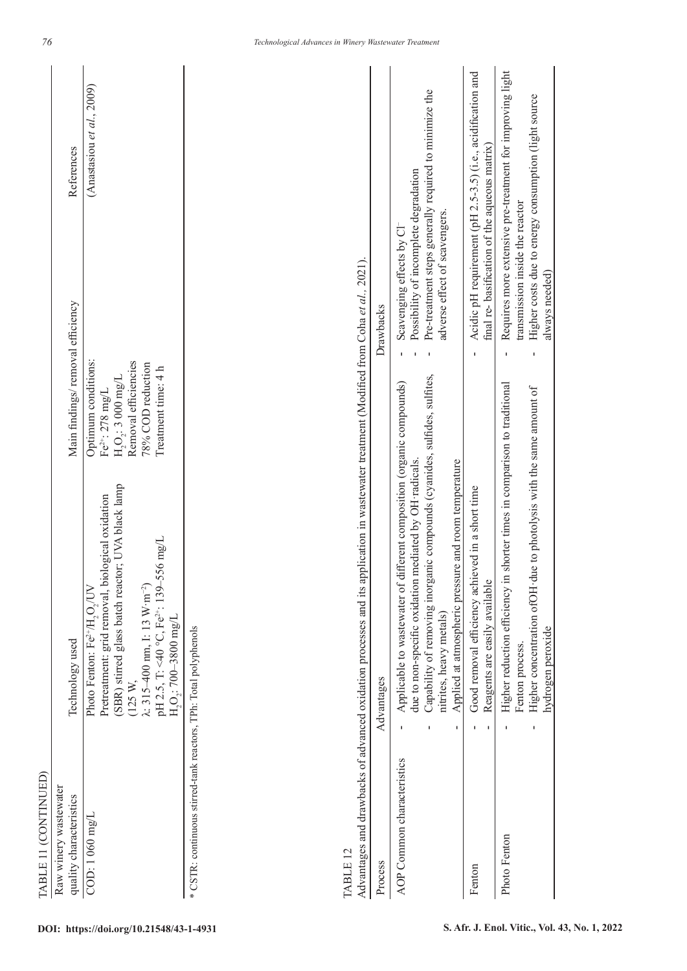| TABLE 11 (CONTINUED)                                             |                                                                                                                                                                                                                                                                                                                              |                                                                                                                                                 |                                                                                                                                                                                           |                                                             |
|------------------------------------------------------------------|------------------------------------------------------------------------------------------------------------------------------------------------------------------------------------------------------------------------------------------------------------------------------------------------------------------------------|-------------------------------------------------------------------------------------------------------------------------------------------------|-------------------------------------------------------------------------------------------------------------------------------------------------------------------------------------------|-------------------------------------------------------------|
| Raw winery wastewater<br>quality characteristics                 | Technology used                                                                                                                                                                                                                                                                                                              | Main findings/removal efficiency                                                                                                                |                                                                                                                                                                                           | References                                                  |
| COD: 1 060 mg/L                                                  | (SBR) stirred glass batch reactor; UVA black lamp<br>Pretreatment: grid removal, biological oxidation<br>pH 2.5, T: <40 °C, Fe <sup>2+</sup> : 139–556 mg/L<br>$\lambda$ : 315–400 nm, I: 13 W·m <sup>-2</sup> )<br>Photo Fenton: Fe <sup>2+</sup> /H <sub>2</sub> O <sub>2</sub> /UV<br>$H_2O_2$ : 700-3800 mg/L<br>(125 W, | Optimum conditions:<br>Removal efficiencies<br>78% COD reduction<br>Treatment time: 4 h<br>$H_2O_2$ : 3 000 mg/L<br>Fe <sup>2+</sup> : 278 mg/L |                                                                                                                                                                                           | (Anastasiou et al., $2009$ )                                |
| * CSTR: continuous stirred-tank reactors, TPh: Total polyphenols |                                                                                                                                                                                                                                                                                                                              |                                                                                                                                                 |                                                                                                                                                                                           |                                                             |
| TABLE <sub>12</sub>                                              | Advantages and drawbacks of advanced oxidation processes and its application in wastewater treatment (Modified from Coha et al., 2021).                                                                                                                                                                                      |                                                                                                                                                 |                                                                                                                                                                                           |                                                             |
| Process                                                          | Advantages                                                                                                                                                                                                                                                                                                                   |                                                                                                                                                 | Drawbacks                                                                                                                                                                                 |                                                             |
| AOP Common characteristics                                       | Capability of removing inorganic compounds (cyanides, sulfides, sulfites,<br>Applicable to wastewater of different composition (organic compounds)<br>due to non-specific oxidation mediated by OH radicals.<br>Applied at atmospheric pressure and room temperature<br>nitrites, heavy metals)<br>$\mathbf I$<br>٠          |                                                                                                                                                 | Pre-treatment steps generally required to minimize the<br>Possibility of incomplete degradation<br>adverse effect of scavengers.<br>Scavenging effects by Cl-<br>T.<br>f,<br>$\mathbf{I}$ |                                                             |
| Fenton                                                           | Good removal efficiency achieved in a short time<br>Reagents are easily available<br>п                                                                                                                                                                                                                                       |                                                                                                                                                 | final re-basification of the aqueous matrix)<br>$\blacksquare$                                                                                                                            | Acidic pH requirement (pH 2.5-3.5) (i.e., acidification and |
| Photo Fenton                                                     | Higher reduction efficiency in shorter times in comparison to traditional<br>Higher concentration of OH due to photolysis with the same amount of<br>hydrogen peroxide<br>Fenton process.<br>ı<br>п                                                                                                                          |                                                                                                                                                 | Higher costs due to energy consumption (light source<br>transmission inside the reactor<br>always needed)<br>ı<br>ı                                                                       | Requires more extensive pre-treatment for improving light   |

*76*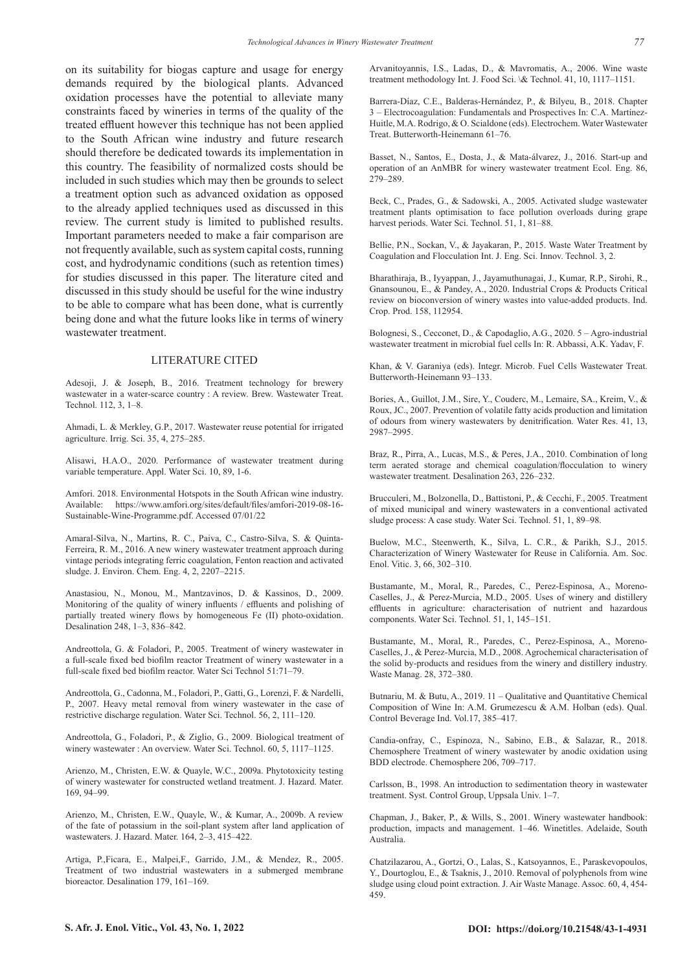on its suitability for biogas capture and usage for energy demands required by the biological plants. Advanced oxidation processes have the potential to alleviate many constraints faced by wineries in terms of the quality of the treated effluent however this technique has not been applied to the South African wine industry and future research should therefore be dedicated towards its implementation in this country. The feasibility of normalized costs should be included in such studies which may then be grounds to select a treatment option such as advanced oxidation as opposed to the already applied techniques used as discussed in this review. The current study is limited to published results. Important parameters needed to make a fair comparison are not frequently available, such as system capital costs, running cost, and hydrodynamic conditions (such as retention times) for studies discussed in this paper. The literature cited and discussed in this study should be useful for the wine industry to be able to compare what has been done, what is currently being done and what the future looks like in terms of winery wastewater treatment.

#### LITERATURE CITED

Adesoji, J. & Joseph, B., 2016. Treatment technology for brewery wastewater in a water-scarce country : A review. Brew. Wastewater Treat. Technol. 112, 3, 1–8.

Ahmadi, L. & Merkley, G.P., 2017. Wastewater reuse potential for irrigated agriculture. Irrig. Sci. 35, 4, 275–285.

Alisawi, H.A.O., 2020. Performance of wastewater treatment during variable temperature. Appl. Water Sci. 10, 89, 1-6.

Amfori. 2018. Environmental Hotspots in the South African wine industry. Available: https://www.amfori.org/sites/default/files/amfori-2019-08-16- Sustainable-Wine-Programme.pdf. Accessed 07/01/22

Amaral-Silva, N., Martins, R. C., Paiva, C., Castro-Silva, S. & Quinta-Ferreira, R. M., 2016. A new winery wastewater treatment approach during vintage periods integrating ferric coagulation, Fenton reaction and activated sludge. J. Environ. Chem. Eng. 4, 2, 2207–2215.

Anastasiou, N., Monou, M., Mantzavinos, D. & Kassinos, D., 2009. Monitoring of the quality of winery influents / effluents and polishing of partially treated winery flows by homogeneous Fe (II) photo-oxidation. Desalination 248, 1–3, 836–842.

Andreottola, G. & Foladori, P., 2005. Treatment of winery wastewater in a full-scale fixed bed biofilm reactor Treatment of winery wastewater in a full-scale fixed bed biofilm reactor. Water Sci Technol 51:71–79.

Andreottola, G., Cadonna, M., Foladori, P., Gatti, G., Lorenzi, F. & Nardelli, P., 2007. Heavy metal removal from winery wastewater in the case of restrictive discharge regulation. Water Sci. Technol. 56, 2, 111–120.

Andreottola, G., Foladori, P., & Ziglio, G., 2009. Biological treatment of winery wastewater : An overview. Water Sci. Technol. 60, 5, 1117–1125.

Arienzo, M., Christen, E.W. & Quayle, W.C., 2009a. Phytotoxicity testing of winery wastewater for constructed wetland treatment. J. Hazard. Mater. 169, 94–99.

Arienzo, M., Christen, E.W., Quayle, W., & Kumar, A., 2009b. A review of the fate of potassium in the soil-plant system after land application of wastewaters. J. Hazard. Mater. 164, 2–3, 415–422.

Artiga, P.,Ficara, E., Malpei,F., Garrido, J.M., & Mendez, R., 2005. Treatment of two industrial wastewaters in a submerged membrane bioreactor. Desalination 179, 161–169.

Arvanitoyannis, I.S., Ladas, D., & Mavromatis, A., 2006. Wine waste treatment methodology Int. J. Food Sci. \& Technol. 41, 10, 1117–1151.

Barrera-Díaz, C.E., Balderas-Hernández, P., & Bilyeu, B., 2018. Chapter 3 – Electrocoagulation: Fundamentals and Prospectives In: C.A. Martínez-Huitle, M.A. Rodrigo, & O. Scialdone (eds). Electrochem. Water Wastewater Treat. Butterworth-Heinemann 61–76.

Basset, N., Santos, E., Dosta, J., & Mata-álvarez, J., 2016. Start-up and operation of an AnMBR for winery wastewater treatment Ecol. Eng. 86, 279–289.

Beck, C., Prades, G., & Sadowski, A., 2005. Activated sludge wastewater treatment plants optimisation to face pollution overloads during grape harvest periods. Water Sci. Technol. 51, 1, 81-88.

Bellie, P.N., Sockan, V., & Jayakaran, P., 2015. Waste Water Treatment by Coagulation and Flocculation Int. J. Eng. Sci. Innov. Technol. 3, 2.

Bharathiraja, B., Iyyappan, J., Jayamuthunagai, J., Kumar, R.P., Sirohi, R., Gnansounou, E., & Pandey, A., 2020. Industrial Crops & Products Critical review on bioconversion of winery wastes into value-added products. Ind. Crop. Prod. 158, 112954.

Bolognesi, S., Cecconet, D., & Capodaglio, A.G., 2020. 5 – Agro-industrial wastewater treatment in microbial fuel cells In: R. Abbassi, A.K. Yadav, F.

Khan, & V. Garaniya (eds). Integr. Microb. Fuel Cells Wastewater Treat. Butterworth-Heinemann 93–133.

Bories, A., Guillot, J.M., Sire, Y., Couderc, M., Lemaire, SA., Kreim, V., & Roux, JC., 2007. Prevention of volatile fatty acids production and limitation of odours from winery wastewaters by denitrification. Water Res. 41, 13, 2987–2995.

Braz, R., Pirra, A., Lucas, M.S., & Peres, J.A., 2010. Combination of long term aerated storage and chemical coagulation/flocculation to winery wastewater treatment. Desalination 263, 226–232.

Brucculeri, M., Bolzonella, D., Battistoni, P., & Cecchi, F., 2005. Treatment of mixed municipal and winery wastewaters in a conventional activated sludge process: A case study. Water Sci. Technol. 51, 1, 89–98.

Buelow, M.C., Steenwerth, K., Silva, L. C.R., & Parikh, S.J., 2015. Characterization of Winery Wastewater for Reuse in California. Am. Soc. Enol. Vitic. 3, 66, 302–310.

Bustamante, M., Moral, R., Paredes, C., Perez-Espinosa, A., Moreno-Caselles, J., & Perez-Murcia, M.D., 2005. Uses of winery and distillery effluents in agriculture: characterisation of nutrient and hazardous components. Water Sci. Technol. 51, 1, 145–151.

Bustamante, M., Moral, R., Paredes, C., Perez-Espinosa, A., Moreno-Caselles, J., & Perez-Murcia, M.D., 2008. Agrochemical characterisation of the solid by-products and residues from the winery and distillery industry. Waste Manag. 28, 372–380.

Butnariu, M. & Butu, A., 2019. 11 – Qualitative and Quantitative Chemical Composition of Wine In: A.M. Grumezescu & A.M. Holban (eds). Qual. Control Beverage Ind. Vol.17, 385–417.

Candia-onfray, C., Espinoza, N., Sabino, E.B., & Salazar, R., 2018. Chemosphere Treatment of winery wastewater by anodic oxidation using BDD electrode. Chemosphere 206, 709–717.

Carlsson, B., 1998. An introduction to sedimentation theory in wastewater treatment. Syst. Control Group, Uppsala Univ. 1–7.

Chapman, J., Baker, P., & Wills, S., 2001. Winery wastewater handbook: production, impacts and management. 1–46. Winetitles. Adelaide, South Australia.

Chatzilazarou, A., Gortzi, O., Lalas, S., Katsoyannos, E., Paraskevopoulos, Y., Dourtoglou, E., & Tsaknis, J., 2010. Removal of polyphenols from wine sludge using cloud point extraction. J. Air Waste Manage. Assoc. 60, 4, 454- 459.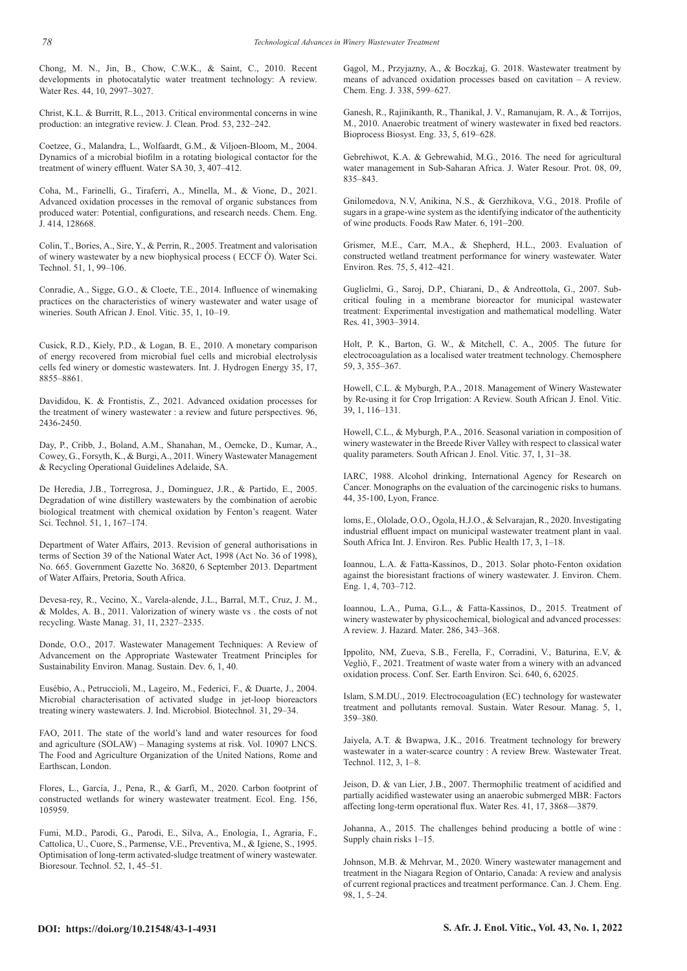Chong, M. N., Jin, B., Chow, C.W.K., & Saint, C., 2010. Recent developments in photocatalytic water treatment technology: A review. Water Res. 44, 10, 2997–3027.

Christ, K.L. & Burritt, R.L., 2013. Critical environmental concerns in wine production: an integrative review. J. Clean. Prod. 53, 232–242.

Coetzee, G., Malandra, L., Wolfaardt, G.M., & Viljoen-Bloom, M., 2004. Dynamics of a microbial biofilm in a rotating biological contactor for the treatment of winery effluent. Water SA 30, 3, 407–412.

Coha, M., Farinelli, G., Tiraferri, A., Minella, M., & Vione, D., 2021. Advanced oxidation processes in the removal of organic substances from produced water: Potential, configurations, and research needs. Chem. Eng. J. 414, 128668.

Colin, T., Bories, A., Sire, Y., & Perrin, R., 2005. Treatment and valorisation of winery wastewater by a new biophysical process ( ECCF Ò). Water Sci. Technol. 51, 1, 99–106.

Conradie, A., Sigge, G.O., & Cloete, T.E., 2014. Influence of winemaking practices on the characteristics of winery wastewater and water usage of wineries. South African J. Enol. Vitic. 35, 1, 10–19.

Cusick, R.D., Kiely, P.D., & Logan, B. E., 2010. A monetary comparison of energy recovered from microbial fuel cells and microbial electrolysis cells fed winery or domestic wastewaters. Int. J. Hydrogen Energy 35, 17, 8855–8861.

Davididou, K. & Frontistis, Z., 2021. Advanced oxidation processes for the treatment of winery wastewater : a review and future perspectives. 96, 2436-2450.

Day, P., Cribb, J., Boland, A.M., Shanahan, M., Oemcke, D., Kumar, A., Cowey, G., Forsyth, K., & Burgi, A., 2011. Winery Wastewater Management & Recycling Operational Guidelines Adelaide, SA.

De Heredia, J.B., Torregrosa, J., Dominguez, J.R., & Partido, E., 2005. Degradation of wine distillery wastewaters by the combination of aerobic biological treatment with chemical oxidation by Fenton's reagent. Water Sci. Technol. 51, 1, 167–174.

Department of Water Affairs, 2013. Revision of general authorisations in terms of Section 39 of the National Water Act, 1998 (Act No. 36 of 1998), No. 665. Government Gazette No. 36820, 6 September 2013. Department of Water Affairs, Pretoria, South Africa.

Devesa-rey, R., Vecino, X., Varela-alende, J.L., Barral, M.T., Cruz, J. M., & Moldes, A. B., 2011. Valorization of winery waste vs . the costs of not recycling. Waste Manag. 31, 11, 2327–2335.

Donde, O.O., 2017. Wastewater Management Techniques: A Review of Advancement on the Appropriate Wastewater Treatment Principles for Sustainability Environ. Manag. Sustain. Dev. 6, 1, 40.

Eusébio, A., Petruccioli, M., Lageiro, M., Federici, F., & Duarte, J., 2004. Microbial characterisation of activated sludge in jet-loop bioreactors treating winery wastewaters. J. Ind. Microbiol. Biotechnol. 31, 29–34.

FAO, 2011. The state of the world's land and water resources for food and agriculture (SOLAW) – Managing systems at risk. Vol. 10907 LNCS. The Food and Agriculture Organization of the United Nations, Rome and Earthscan, London.

Flores, L., García, J., Pena, R., & Garfí, M., 2020. Carbon footprint of constructed wetlands for winery wastewater treatment. Ecol. Eng. 156, 105959.

Fumi, M.D., Parodi, G., Parodi, E., Silva, A., Enologia, I., Agraria, F., Cattolica, U., Cuore, S., Parmense, V.E., Preventiva, M., & Igiene, S., 1995. Optimisation of long-term activated-sludge treatment of winery wastewater. Bioresour. Technol. 52, 1, 45–51.

Gągol, M., Przyjazny, A., & Boczkaj, G. 2018. Wastewater treatment by means of advanced oxidation processes based on cavitation – A review. Chem. Eng. J. 338, 599–627.

Ganesh, R., Rajinikanth, R., Thanikal, J. V., Ramanujam, R. A., & Torrijos, M., 2010. Anaerobic treatment of winery wastewater in fixed bed reactors. Bioprocess Biosyst. Eng. 33, 5, 619–628.

Gebrehiwot, K.A. & Gebrewahid, M.G., 2016. The need for agricultural water management in Sub-Saharan Africa. J. Water Resour. Prot. 08, 09, 835–843.

Gnilomedova, N.V, Anikina, N.S., & Gerzhikova, V.G., 2018. Profile of sugars in a grape-wine system as the identifying indicator of the authenticity of wine products. Foods Raw Mater. 6, 191–200.

Grismer, M.E., Carr, M.A., & Shepherd, H.L., 2003. Evaluation of constructed wetland treatment performance for winery wastewater. Water Environ. Res. 75, 5, 412–421.

Guglielmi, G., Saroj, D.P., Chiarani, D., & Andreottola, G., 2007. Subcritical fouling in a membrane bioreactor for municipal wastewater treatment: Experimental investigation and mathematical modelling. Water Res. 41, 3903–3914.

Holt, P. K., Barton, G. W., & Mitchell, C. A., 2005. The future for electrocoagulation as a localised water treatment technology. Chemosphere 59, 3, 355–367.

Howell, C.L. & Myburgh, P.A., 2018. Management of Winery Wastewater by Re-using it for Crop Irrigation: A Review. South African J. Enol. Vitic. 39, 1, 116–131.

Howell, C.L., & Myburgh, P.A., 2016. Seasonal variation in composition of winery wastewater in the Breede River Valley with respect to classical water quality parameters. South African J. Enol. Vitic. 37, 1, 31–38.

IARC, 1988. Alcohol drinking, International Agency for Research on Cancer. Monographs on the evaluation of the carcinogenic risks to humans. 44, 35-100, Lyon, France.

loms, E., Ololade, O.O., Ogola, H.J.O., & Selvarajan, R., 2020. Investigating industrial effluent impact on municipal wastewater treatment plant in vaal. South Africa Int. J. Environ. Res. Public Health 17, 3, 1–18.

Ioannou, L.A. & Fatta-Kassinos, D., 2013. Solar photo-Fenton oxidation against the bioresistant fractions of winery wastewater. J. Environ. Chem. Eng. 1, 4, 703–712.

Ioannou, L.A., Puma, G.L., & Fatta-Kassinos, D., 2015. Treatment of winery wastewater by physicochemical, biological and advanced processes: A review. J. Hazard. Mater. 286, 343–368.

Ippolito, NM, Zueva, S.B., Ferella, F., Corradini, V., Baturina, E.V, & Vegliò, F., 2021. Treatment of waste water from a winery with an advanced oxidation process. Conf. Ser. Earth Environ. Sci. 640, 6, 62025.

Islam, S.M.DU., 2019. Electrocoagulation (EC) technology for wastewater treatment and pollutants removal. Sustain. Water Resour. Manag. 5, 1, 359–380.

Jaiyela, A.T. & Bwapwa, J.K., 2016. Treatment technology for brewery wastewater in a water-scarce country : A review Brew. Wastewater Treat. Technol. 112, 3, 1–8.

Jeison, D. & van Lier, J.B., 2007. Thermophilic treatment of acidified and partially acidified wastewater using an anaerobic submerged MBR: Factors affecting long-term operational flux. Water Res. 41, 17, 3868—3879.

Johanna, A., 2015. The challenges behind producing a bottle of wine : Supply chain risks 1–15.

Johnson, M.B. & Mehrvar, M., 2020. Winery wastewater management and treatment in the Niagara Region of Ontario, Canada: A review and analysis of current regional practices and treatment performance. Can. J. Chem. Eng. 98, 1, 5–24.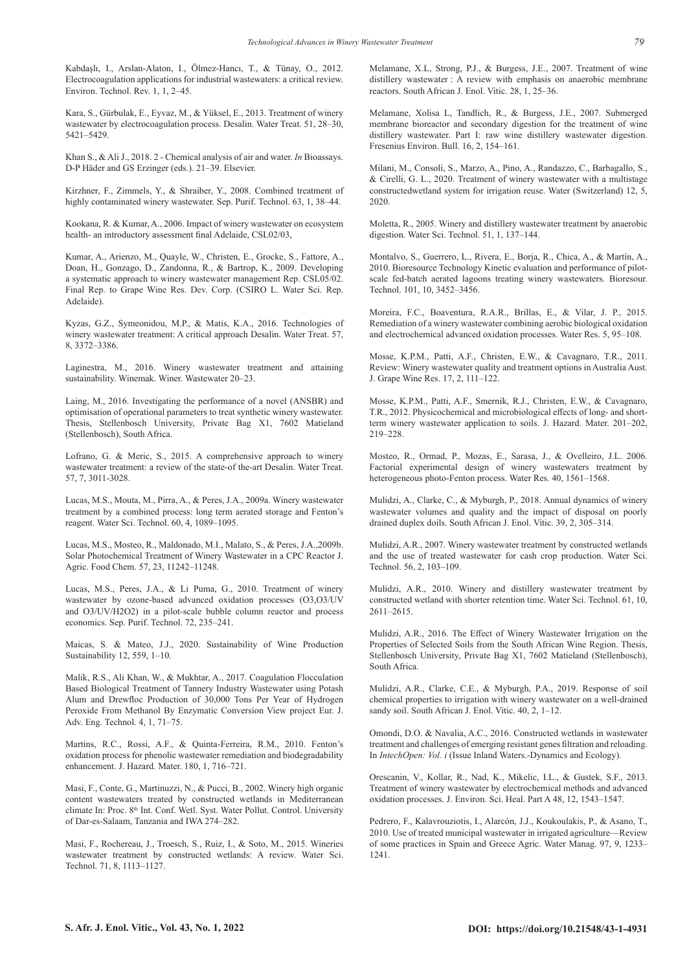Kabdaşlı, I., Arslan-Alaton, I., Ölmez-Hancı, T., & Tünay, O., 2012. Electrocoagulation applications for industrial wastewaters: a critical review. Environ. Technol. Rev. 1, 1, 2–45.

Kara, S., Gürbulak, E., Eyvaz, M., & Yüksel, E., 2013. Treatment of winery wastewater by electrocoagulation process. Desalin. Water Treat. 51, 28–30, 5421–5429.

Khan S., & Ali J., 2018. 2 - Chemical analysis of air and water. *In* Bioassays. D-P Häder and GS Erzinger (eds.). 21–39. Elsevier.

Kirzhner, F., Zimmels, Y., & Shraiber, Y., 2008. Combined treatment of highly contaminated winery wastewater. Sep. Purif. Technol. 63, 1, 38–44.

Kookana, R. & Kumar, A., 2006. Impact of winery wastewater on ecosystem health- an introductory assessment final Adelaide, CSL02/03,

Kumar, A., Arienzo, M., Quayle, W., Christen, E., Grocke, S., Fattore, A., Doan, H., Gonzago, D., Zandonna, R., & Bartrop, K., 2009. Developing a systematic approach to winery wastewater management Rep. CSL05/02. Final Rep. to Grape Wine Res. Dev. Corp. (CSIRO L. Water Sci. Rep. Adelaide).

Kyzas, G.Z., Symeonidou, M.P., & Matis, K.A., 2016. Technologies of winery wastewater treatment: A critical approach Desalin. Water Treat. 57, 8, 3372–3386.

Laginestra, M., 2016. Winery wastewater treatment and attaining sustainability. Winemak. Winer. Wastewater 20–23.

Laing, M., 2016. Investigating the performance of a novel (ANSBR) and optimisation of operational parameters to treat synthetic winery wastewater. Thesis, Stellenbosch University, Private Bag X1, 7602 Matieland (Stellenbosch), South Africa.

Lofrano, G. & Meric, S., 2015. A comprehensive approach to winery wastewater treatment: a review of the state-of the-art Desalin. Water Treat. 57, 7, 3011-3028.

Lucas, M.S., Mouta, M., Pirra, A., & Peres, J.A., 2009a. Winery wastewater treatment by a combined process: long term aerated storage and Fenton's reagent. Water Sci. Technol. 60, 4, 1089–1095.

Lucas, M.S., Mosteo, R., Maldonado, M.I., Malato, S., & Peres, J.A.,2009b. Solar Photochemical Treatment of Winery Wastewater in a CPC Reactor J. Agric. Food Chem. 57, 23, 11242–11248.

Lucas, M.S., Peres, J.A., & Li Puma, G., 2010. Treatment of winery wastewater by ozone-based advanced oxidation processes (O3,O3/UV and O3/UV/H2O2) in a pilot-scale bubble column reactor and process economics. Sep. Purif. Technol. 72, 235–241.

Maicas, S. & Mateo, J.J., 2020. Sustainability of Wine Production Sustainability 12, 559, 1–10.

Malik, R.S., Ali Khan, W., & Mukhtar, A., 2017. Coagulation Flocculation Based Biological Treatment of Tannery Industry Wastewater using Potash Alum and Drewfloc Production of 30,000 Tons Per Year of Hydrogen Peroxide From Methanol By Enzymatic Conversion View project Eur. J. Adv. Eng. Technol. 4, 1, 71–75.

Martins, R.C., Rossi, A.F., & Quinta-Ferreira, R.M., 2010. Fenton's oxidation process for phenolic wastewater remediation and biodegradability enhancement. J. Hazard. Mater. 180, 1, 716–721.

Masi, F., Conte, G., Martinuzzi, N., & Pucci, B., 2002. Winery high organic content wastewaters treated by constructed wetlands in Mediterranean climate In: Proc. 8<sup>th</sup> Int. Conf. Wetl. Syst. Water Pollut. Control. University of Dar-es-Salaam, Tanzania and IWA 274–282.

Masi, F., Rochereau, J., Troesch, S., Ruiz, I., & Soto, M., 2015. Wineries wastewater treatment by constructed wetlands: A review. Water Sci. Technol. 71, 8, 1113–1127.

Melamane, X.L, Strong, P.J., & Burgess, J.E., 2007. Treatment of wine distillery wastewater : A review with emphasis on anaerobic membrane reactors. South African J. Enol. Vitic. 28, 1, 25–36.

Melamane, Xolisa L, Tandlich, R., & Burgess, J.E., 2007. Submerged membrane bioreactor and secondary digestion for the treatment of wine distillery wastewater. Part I: raw wine distillery wastewater digestion. Fresenius Environ. Bull. 16, 2, 154–161.

Milani, M., Consoli, S., Marzo, A., Pino, A., Randazzo, C., Barbagallo, S., & Cirelli, G. L., 2020. Treatment of winery wastewater with a multistage constructedwetland system for irrigation reuse. Water (Switzerland) 12, 5, 2020.

Moletta, R., 2005. Winery and distillery wastewater treatment by anaerobic digestion. Water Sci. Technol. 51, 1, 137–144.

Montalvo, S., Guerrero, L., Rivera, E., Borja, R., Chica, A., & Martín, A., 2010. Bioresource Technology Kinetic evaluation and performance of pilotscale fed-batch aerated lagoons treating winery wastewaters. Bioresour. Technol. 101, 10, 3452–3456.

Moreira, F.C., Boaventura, R.A.R., Brillas, E., & Vilar, J. P., 2015. Remediation of a winery wastewater combining aerobic biological oxidation and electrochemical advanced oxidation processes. Water Res. 5, 95–108.

Mosse, K.P.M., Patti, A.F., Christen, E.W., & Cavagnaro, T.R., 2011. Review: Winery wastewater quality and treatment options in Australia Aust. J. Grape Wine Res. 17, 2, 111–122.

Mosse, K.P.M., Patti, A.F., Smernik, R.J., Christen, E.W., & Cavagnaro, T.R., 2012. Physicochemical and microbiological effects of long- and shortterm winery wastewater application to soils. J. Hazard. Mater. 201–202, 219–228.

Mosteo, R., Ormad, P., Mozas, E., Sarasa, J., & Ovelleiro, J.L. 2006. Factorial experimental design of winery wastewaters treatment by heterogeneous photo-Fenton process. Water Res. 40, 1561–1568.

Mulidzi, A., Clarke, C., & Myburgh, P., 2018. Annual dynamics of winery wastewater volumes and quality and the impact of disposal on poorly drained duplex doils. South African J. Enol. Vitic. 39, 2, 305–314.

Mulidzi, A.R., 2007. Winery wastewater treatment by constructed wetlands and the use of treated wastewater for cash crop production. Water Sci. Technol. 56, 2, 103–109.

Mulidzi, A.R., 2010. Winery and distillery wastewater treatment by constructed wetland with shorter retention time. Water Sci. Technol. 61, 10, 2611–2615.

Mulidzi, A.R., 2016. The Effect of Winery Wastewater Irrigation on the Properties of Selected Soils from the South African Wine Region. Thesis, Stellenbosch University, Private Bag X1, 7602 Matieland (Stellenbosch), South Africa.

Mulidzi, A.R., Clarke, C.E., & Myburgh, P.A., 2019. Response of soil chemical properties to irrigation with winery wastewater on a well-drained sandy soil. South African J. Enol. Vitic. 40, 2, 1-12.

Omondi, D.O. & Navalia, A.C., 2016. Constructed wetlands in wastewater treatment and challenges of emerging resistant genes filtration and reloading. In *IntechOpen: Vol. i* (Issue Inland Waters.-Dynamics and Ecology).

Orescanin, V., Kollar, R., Nad, K., Mikelic, I.L., & Gustek, S.F., 2013. Treatment of winery wastewater by electrochemical methods and advanced oxidation processes. J. Environ. Sci. Heal. Part A 48, 12, 1543–1547.

Pedrero, F., Kalavrouziotis, I., Alarcón, J.J., Koukoulakis, P., & Asano, T., 2010. Use of treated municipal wastewater in irrigated agriculture—Review of some practices in Spain and Greece Agric. Water Manag. 97, 9, 1233– 1241.